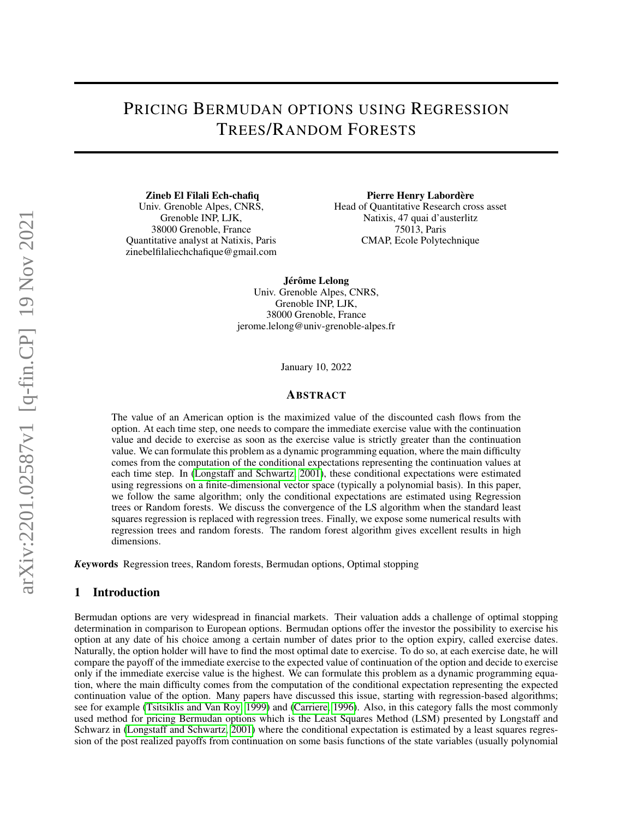# PRICING BERMUDAN OPTIONS USING REGRESSION TREES/RANDOM FORESTS

Zineb El Filali Ech-chafiq Univ. Grenoble Alpes, CNRS, Grenoble INP, LJK, 38000 Grenoble, France Quantitative analyst at Natixis, Paris zinebelfilaliechchafique@gmail.com

Pierre Henry Labordère Head of Quantitative Research cross asset Natixis, 47 quai d'austerlitz 75013, Paris CMAP, Ecole Polytechnique

Jérôme Lelong Univ. Grenoble Alpes, CNRS, Grenoble INP, LJK, 38000 Grenoble, France jerome.lelong@univ-grenoble-alpes.fr

January 10, 2022

## ABSTRACT

The value of an American option is the maximized value of the discounted cash flows from the option. At each time step, one needs to compare the immediate exercise value with the continuation value and decide to exercise as soon as the exercise value is strictly greater than the continuation value. We can formulate this problem as a dynamic programming equation, where the main difficulty comes from the computation of the conditional expectations representing the continuation values at each time step. In [\(Longstaff and Schwartz, 2001\)](#page-20-0), these conditional expectations were estimated using regressions on a finite-dimensional vector space (typically a polynomial basis). In this paper, we follow the same algorithm; only the conditional expectations are estimated using Regression trees or Random forests. We discuss the convergence of the LS algorithm when the standard least squares regression is replaced with regression trees. Finally, we expose some numerical results with regression trees and random forests. The random forest algorithm gives excellent results in high dimensions.

*K*eywords Regression trees, Random forests, Bermudan options, Optimal stopping

## 1 Introduction

Bermudan options are very widespread in financial markets. Their valuation adds a challenge of optimal stopping determination in comparison to European options. Bermudan options offer the investor the possibility to exercise his option at any date of his choice among a certain number of dates prior to the option expiry, called exercise dates. Naturally, the option holder will have to find the most optimal date to exercise. To do so, at each exercise date, he will compare the payoff of the immediate exercise to the expected value of continuation of the option and decide to exercise only if the immediate exercise value is the highest. We can formulate this problem as a dynamic programming equation, where the main difficulty comes from the computation of the conditional expectation representing the expected continuation value of the option. Many papers have discussed this issue, starting with regression-based algorithms; see for example [\(Tsitsiklis and Van Roy, 1999\)](#page-20-1) and [\(Carriere, 1996\)](#page-20-2). Also, in this category falls the most commonly used method for pricing Bermudan options which is the Least Squares Method (LSM) presented by Longstaff and Schwarz in [\(Longstaff and Schwartz, 2001\)](#page-20-0) where the conditional expectation is estimated by a least squares regression of the post realized payoffs from continuation on some basis functions of the state variables (usually polynomial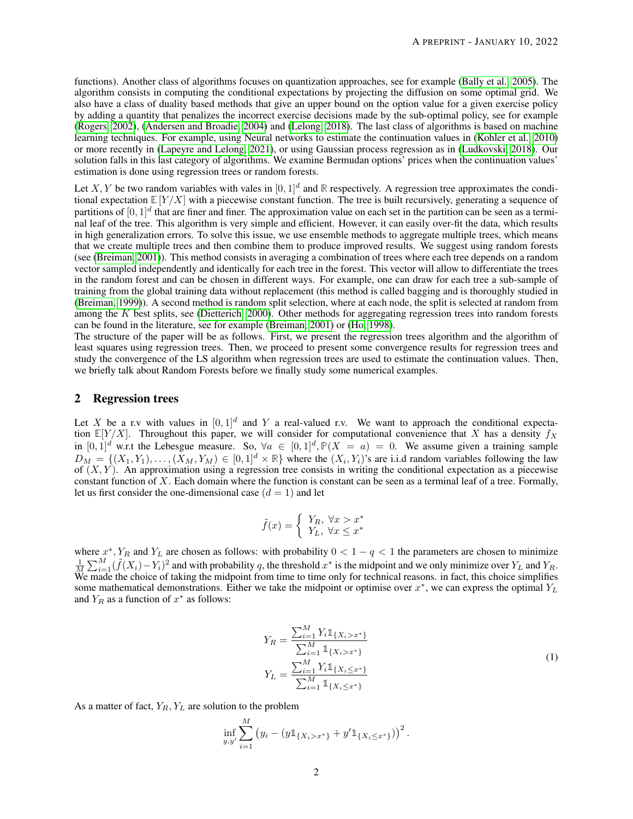functions). Another class of algorithms focuses on quantization approaches, see for example [\(Bally et al., 2005\)](#page-20-3). The algorithm consists in computing the conditional expectations by projecting the diffusion on some optimal grid. We also have a class of duality based methods that give an upper bound on the option value for a given exercise policy by adding a quantity that penalizes the incorrect exercise decisions made by the sub-optimal policy, see for example [\(Rogers, 2002\)](#page-20-4), [\(Andersen and Broadie, 2004\)](#page-20-5) and [\(Lelong, 2018\)](#page-20-6). The last class of algorithms is based on machine learning techniques. For example, using Neural networks to estimate the continuation values in [\(Kohler et al., 2010\)](#page-20-7) or more recently in [\(Lapeyre and Lelong, 2021\)](#page-20-8), or using Gaussian process regression as in [\(Ludkovski, 2018\)](#page-20-9). Our solution falls in this last category of algorithms. We examine Bermudan options' prices when the continuation values' estimation is done using regression trees or random forests.

Let X, Y be two random variables with vales in  $[0, 1]^d$  and R respectively. A regression tree approximates the conditional expectation  $\mathbb{E}[Y/X]$  with a piecewise constant function. The tree is built recursively, generating a sequence of partitions of  $[0,1]^d$  that are finer and finer. The approximation value on each set in the partition can be seen as a terminal leaf of the tree. This algorithm is very simple and efficient. However, it can easily over-fit the data, which results in high generalization errors. To solve this issue, we use ensemble methods to aggregate multiple trees, which means that we create multiple trees and then combine them to produce improved results. We suggest using random forests (see [\(Breiman, 2001\)](#page-20-10)). This method consists in averaging a combination of trees where each tree depends on a random vector sampled independently and identically for each tree in the forest. This vector will allow to differentiate the trees in the random forest and can be chosen in different ways. For example, one can draw for each tree a sub-sample of training from the global training data without replacement (this method is called bagging and is thoroughly studied in [\(Breiman, 1999\)](#page-20-11)). A second method is random split selection, where at each node, the split is selected at random from among the K best splits, see [\(Dietterich, 2000\)](#page-20-12). Other methods for aggregating regression trees into random forests can be found in the literature, see for example [\(Breiman, 2001\)](#page-20-10) or [\(Ho, 1998\)](#page-20-13).

The structure of the paper will be as follows. First, we present the regression trees algorithm and the algorithm of least squares using regression trees. Then, we proceed to present some convergence results for regression trees and study the convergence of the LS algorithm when regression trees are used to estimate the continuation values. Then, we briefly talk about Random Forests before we finally study some numerical examples.

# <span id="page-1-1"></span>2 Regression trees

Let X be a r.v with values in  $[0, 1]^d$  and Y a real-valued r.v. We want to approach the conditional expectation  $\mathbb{E}[Y/X]$ . Throughout this paper, we will consider for computational convenience that X has a density  $f_X$ in  $[0,1]^d$  w.r.t the Lebesgue measure. So,  $\forall a \in [0,1]^d$ ,  $\mathbb{P}(X = a) = 0$ . We assume given a training sample  $D_M = \{(X_1, Y_1), \ldots, (X_M, Y_M) \in [0,1]^d \times \mathbb{R}\}$  where the  $(X_i, Y_i)$ 's are i.i.d random variables following the law of  $(X, Y)$ . An approximation using a regression tree consists in writing the conditional expectation as a piecewise constant function of X. Each domain where the function is constant can be seen as a terminal leaf of a tree. Formally, let us first consider the one-dimensional case  $(d = 1)$  and let

$$
\tilde{f}(x) = \begin{cases} Y_R, \ \forall x > x^* \\ Y_L, \ \forall x \leq x^* \end{cases}
$$

where  $x^*$ ,  $Y_R$  and  $Y_L$  are chosen as follows: with probability  $0 < 1 - q < 1$  the parameters are chosen to minimize  $\frac{1}{M}\sum_{i=1}^{M}(\tilde{f}(X_i)-Y_i)^2$  and with probability q, the threshold  $x^*$  is the midpoint and we only minimize over  $Y_L$  and  $Y_R$ . We made the choice of taking the midpoint from time to time only for technical reasons. in fact, this choice simplifies some mathematical demonstrations. Either we take the midpoint or optimise over  $x^*$ , we can express the optimal  $Y_L$ and  $Y_R$  as a function of  $x^*$  as follows:

<span id="page-1-0"></span>
$$
Y_R = \frac{\sum_{i=1}^{M} Y_i \mathbb{1}_{\{X_i > x^*\}}}{\sum_{i=1}^{M} \mathbb{1}_{\{X_i > x^*\}}}
$$
  
\n
$$
Y_L = \frac{\sum_{i=1}^{M} Y_i \mathbb{1}_{\{X_i \le x^*\}}}{\sum_{i=1}^{M} \mathbb{1}_{\{X_i \le x^*\}}}
$$
\n(1)

As a matter of fact,  $Y_R, Y_L$  are solution to the problem

$$
\inf_{y,y'} \sum_{i=1}^M (y_i - (y \mathbb{1}_{\{X_i > x^*\}} + y' \mathbb{1}_{\{X_i \le x^*\}}))^{2}.
$$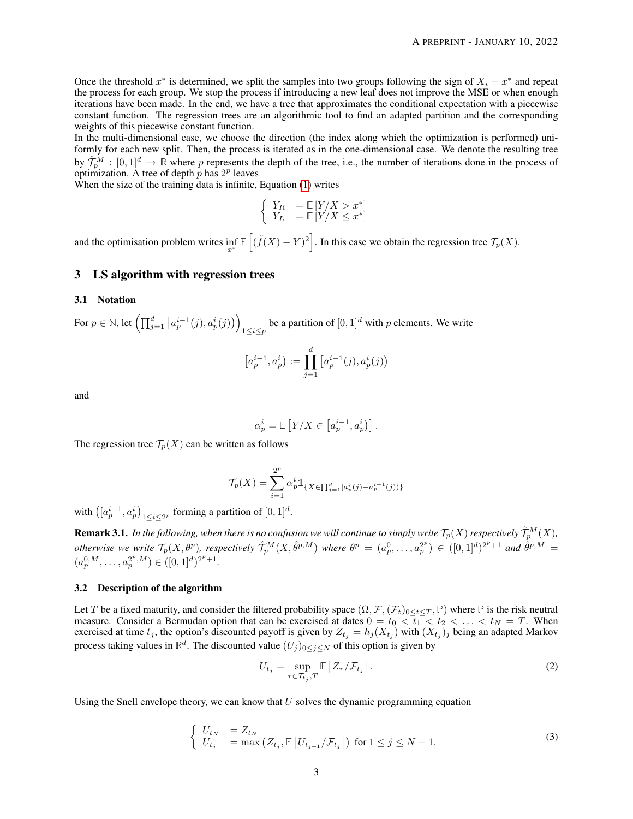Once the threshold  $x^*$  is determined, we split the samples into two groups following the sign of  $X_i - x^*$  and repeat the process for each group. We stop the process if introducing a new leaf does not improve the MSE or when enough iterations have been made. In the end, we have a tree that approximates the conditional expectation with a piecewise constant function. The regression trees are an algorithmic tool to find an adapted partition and the corresponding weights of this piecewise constant function.

In the multi-dimensional case, we choose the direction (the index along which the optimization is performed) uniformly for each new split. Then, the process is iterated as in the one-dimensional case. We denote the resulting tree by  $\hat{\mathcal{T}}_p^M : [0,1]^d \to \mathbb{R}$  where p represents the depth of the tree, i.e., the number of iterations done in the process of optimization. A tree of depth  $p$  has  $2^p$  leaves

When the size of the training data is infinite, Equation [\(1\)](#page-1-0) writes

$$
\left\{\begin{array}{ll} Y_R &= \mathbb{E}\left[Y/X > x^* \right] \\ Y_L &= \mathbb{E}\left[Y/X \leq x^* \right] \end{array}\right.
$$

and the optimisation problem writes  $\inf_{x^*} \mathbb{E} \left[ (\tilde{f}(X) - Y)^2 \right]$ . In this case we obtain the regression tree  $\mathcal{T}_p(X)$ .

## 3 LS algorithm with regression trees

## <span id="page-2-0"></span>3.1 Notation

For  $p \in \mathbb{N}$ , let  $\left(\prod_{j=1}^d \left[a_p^{i-1}(j), a_p^i(j)\right)\right)$ be a partition of  $[0, 1]^d$  with p elements. We write

$$
[a_p^{i-1}, a_p^i) := \prod_{j=1}^d [a_p^{i-1}(j), a_p^i(j))
$$

and

$$
\alpha_p^i = \mathbb{E}\left[Y/X \in \left[a_p^{i-1}, a_p^i\right)\right].
$$

The regression tree  $\mathcal{T}_p(X)$  can be written as follows

$$
\mathcal{T}_p(X) = \sum_{i=1}^{2^p} \alpha_p^i \mathbb{1}_{\{X \in \prod_{j=1}^d [a_p^i(j) - a_p^{i-1}(j))\}}
$$

with  $([a_p^{i-1}, a_p^i)_{1 \leq i \leq 2^p}$  forming a partition of  $[0, 1]^d$ .

 ${\bf Remark 3.1.}$  In the following, when there is no confusion we will continue to simply write  $\mathcal{T}_p(X)$  respectively  $\hat{\mathcal{T}}_p^M(X)$ , *otherwise we write*  $\mathcal{T}_p(X, \theta^p)$ , respectively  $\hat{\mathcal{T}}_p^M(X, \hat{\theta}^{p,M})$  where  $\theta^p = (a_p^0, \dots, a_p^{2^p}) \in ([0,1]^d)^{2^p+1}$  and  $\hat{\theta}^{p,M} =$  $(a_p^{0,M}, \ldots, a_p^{2^p,M}) \in ([0,1]^d)^{2^p+1}.$ 

## 3.2 Description of the algorithm

Let T be a fixed maturity, and consider the filtered probability space  $(\Omega, \mathcal{F}, (\mathcal{F}_t)_{0\leq t\leq T}, \mathbb{P})$  where  $\mathbb P$  is the risk neutral measure. Consider a Bermudan option that can be exercised at dates  $0 = t_0 < \overline{t_1} < t_2 < \ldots < t_N = T$ . When exercised at time  $t_j$ , the option's discounted payoff is given by  $Z_{t_j} = h_j(X_{t_j})$  with  $(X_{t_j})_j$  being an adapted Markov process taking values in  $\mathbb{R}^d$ . The discounted value  $(U_j)_{0 \le j \le N}$  of this option is given by

$$
U_{t_j} = \sup_{\tau \in \mathcal{T}_{t_j}, T} \mathbb{E}\left[Z_{\tau}/\mathcal{F}_{t_j}\right].
$$
 (2)

Using the Snell envelope theory, we can know that  $U$  solves the dynamic programming equation

$$
\begin{cases}\nU_{t_N} &= Z_{t_N} \\
U_{t_j} &= \max\left(Z_{t_j}, \mathbb{E}\left[U_{t_{j+1}}/\mathcal{F}_{t_j}\right]\right) \text{ for } 1 \le j \le N-1.\n\end{cases}
$$
\n(3)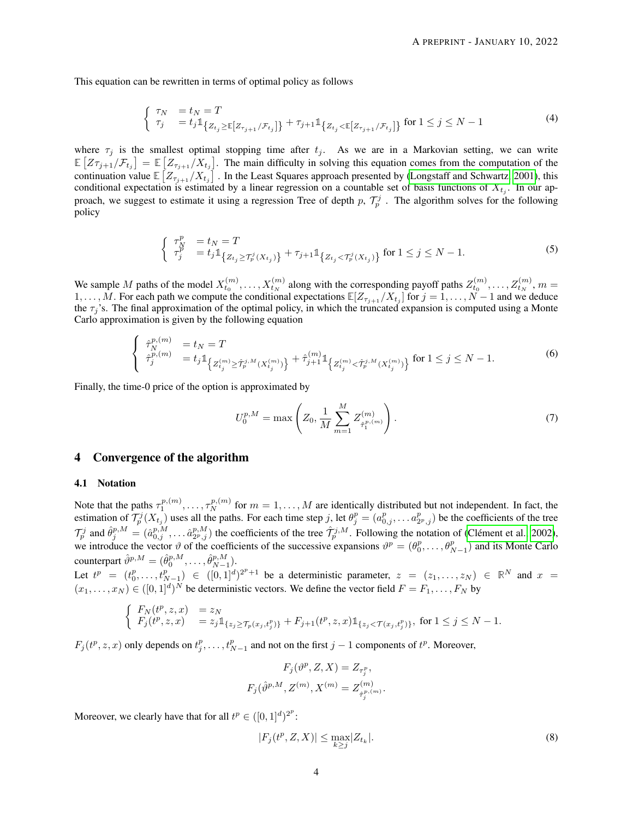This equation can be rewritten in terms of optimal policy as follows

$$
\begin{cases}\n\tau_N &= t_N = T \\
\tau_j &= t_j \mathbb{1}_{\{Z_{t_j} \ge \mathbb{E}[Z_{\tau_{j+1}}/\mathcal{F}_{t_j}]\}} + \tau_{j+1} \mathbb{1}_{\{Z_{t_j} < \mathbb{E}[Z_{\tau_{j+1}}/\mathcal{F}_{t_j}]\}} \text{ for } 1 \le j \le N - 1\n\end{cases} \tag{4}
$$

where  $\tau_j$  is the smallest optimal stopping time after  $t_j$ . As we are in a Markovian setting, we can write  $\mathbb{E}\left[Z\tau_{j+1}/\mathcal{F}_{t_j}\right] = \mathbb{E}\left[Z_{\tau_{j+1}}/X_{t_j}\right]$ . The main difficulty in solving this equation comes from the computation of the continuation value  $\mathbb{E}\left[Z_{\tau_{j+1}}/X_{t_j}\right]$ . In the Least Squares approach presented by [\(Longstaff and Schwartz, 2001\)](#page-20-0), this conditional expectation is estimated by a linear regression on a countable set of basis functions of  $X_{t_j}$ . In our approach, we suggest to estimate it using a regression Tree of depth p,  $\mathcal{T}_p^j$ . The algorithm solves for the following policy

$$
\begin{cases} \tau_N^p = t_N = T \\ \tau_j^p = t_j \mathbb{1}_{\{Z_{t_j} \ge \tau_j^j(X_{t_j})\}} + \tau_{j+1} \mathbb{1}_{\{Z_{t_j} < \tau_j^j(X_{t_j})\}} \text{ for } 1 \le j \le N - 1. \end{cases} \tag{5}
$$

We sample M paths of the model  $X_{t_0}^{(m)}, \ldots, X_{t_N}^{(m)}$  along with the corresponding payoff paths  $Z_{t_0}^{(m)}, \ldots, Z_{t_N}^{(m)}$ ,  $m =$ 1, ..., M. For each path we compute the conditional expectations  $\mathbb{E}[Z_{\tau_{j+1}}/X_{t_j}]$  for  $j = 1, ..., N-1$  and we deduce the  $\tau_j$ 's. The final approximation of the optimal policy, in which the truncated expansion is computed using a Monte Carlo approximation is given by the following equation

$$
\begin{cases}\n\hat{\tau}_N^{p,(m)} = t_N = T \\
\hat{\tau}_j^{p,(m)} = t_j \mathbb{1}_{\left\{Z_{t_j}^{(m)} \geq \hat{\mathcal{T}}_p^{j,M}(X_{t_j}^{(m)})\right\}} + \hat{\tau}_{j+1}^{(m)} \mathbb{1}_{\left\{Z_{t_j}^{(m)} < \hat{\mathcal{T}}_p^{j,M}(X_{t_j}^{(m)})\right\}} \text{ for } 1 \leq j \leq N - 1.\n\end{cases} \tag{6}
$$

Finally, the time-0 price of the option is approximated by

$$
U_0^{p,M} = \max\left(Z_0, \frac{1}{M} \sum_{m=1}^M Z_{\hat{\tau}_1^{p,(m)}}^{(m)}\right).
$$
 (7)

# 4 Convergence of the algorithm

#### 4.1 Notation

Note that the paths  $\tau_1^{p,(m)}, \ldots, \tau_N^{p,(m)}$  for  $m = 1, \ldots, M$  are identically distributed but not independent. In fact, the estimation of  $\mathcal{T}_{p}^{j}(X_{t_j})$  uses all the paths. For each time step j, let  $\theta_j^p = (a_{0,j}^p, \dots, a_{2^p,j}^p)$  be the coefficients of the tree  $\mathcal{T}_p^j$  and  $\hat{\theta}_j^{p,M} = (\hat{a}_{0,j}^{p,M}, \dots \hat{a}_{2^p,j}^{p,M})$  the coefficients of the tree  $\hat{\mathcal{T}}_p^{j,M}$ . Following the notation of [\(Clément et al., 2002\)](#page-20-14), we introduce the vector  $\vartheta$  of the coefficients of the successive expansions  $\vartheta^p = (\theta_0^p, \dots, \theta_{N-1}^p)$  and its Monte Carlo counterpart  $\hat{\vartheta}^{p,M} = (\hat{\theta}_0^{p,M}, \dots, \hat{\theta}_{N-1}^{p,M}).$ 

Let  $t^p = (t_0^p, \ldots, t_{N-1}^p) \in ([0,1]^d)^{2^p+1}$  be a deterministic parameter,  $z = (z_1, \ldots, z_N) \in \mathbb{R}^N$  and  $x =$  $(x_1, \ldots, x_N) \in ([0, 1]^d)^N$  be deterministic vectors. We define the vector field  $F = F_1, \ldots, F_N$  by

$$
\begin{cases}\nF_N(t^p, z, x) &= z_N \\
F_j(t^p, z, x) &= z_j \mathbb{1}_{\{z_j \ge \mathcal{T}_p(x_j, t_j^p)\}} + F_{j+1}(t^p, z, x) \mathbb{1}_{\{z_j < \mathcal{T}(x_j, t_j^p)\}}, \text{ for } 1 \le j \le N - 1.\n\end{cases}
$$

 $F_j(t^p, z, x)$  only depends on  $t^p_j, \ldots, t^p_{N-1}$  and not on the first  $j-1$  components of  $t^p$ . Moreover,

$$
F_j(\vartheta^p, Z, X) = Z_{\tau_j^p},
$$
  

$$
F_j(\hat{\vartheta}^{p,M}, Z^{(m)}, X^{(m)} = Z_{\hat{\tau}_j^{p,(m)}}^{(m)}.
$$

Moreover, we clearly have that for all  $t^p \in ([0, 1]^d)^{2^p}$ :

<span id="page-3-0"></span>
$$
|F_j(t^p, Z, X)| \le \max_{k \ge j} |Z_{t_k}|. \tag{8}
$$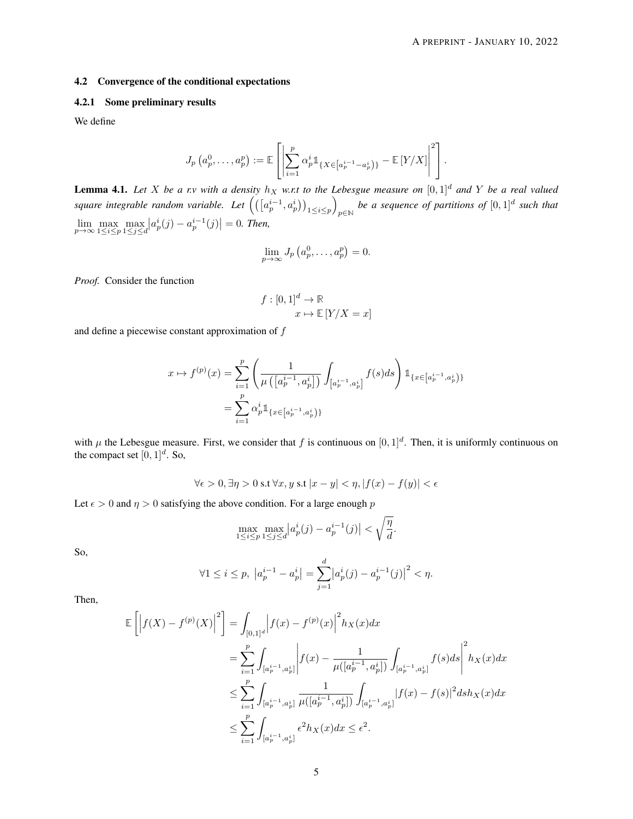# 4.2 Convergence of the conditional expectations

# 4.2.1 Some preliminary results

We define

$$
J_p\left(a_p^0,\ldots,a_p^p\right) := \mathbb{E}\left[\left|\sum_{i=1}^p \alpha_p^{i} 1\!\!1_{\{X \in \left[a_p^{i-1} - a_p^{i}\right)\}} - \mathbb{E}\left[Y/X\right]\right|^2\right].
$$

<span id="page-4-0"></span>**Lemma 4.1.** Let X be a r.v with a density  $h_X$  w.r.t to the Lebesgue measure on  $[0,1]^d$  and Y be a real valued square integrable random variable. Let  $\left(\left(\left[a_p^{i-1},a_p^i\right)\right)_{1\leq i\leq p}\right)$ *be a sequence of partitions of*  $[0,1]^d$  *such that*  $\lim_{p \to \infty} \max_{1 \le i \le p} \max_{1 \le j \le d} |a_p^i(j) - a_p^{i-1}(j)| = 0$ . Then,

$$
\lim_{p \to \infty} J_p\left(a_p^0, \ldots, a_p^p\right) = 0.
$$

*Proof.* Consider the function

$$
f: [0,1]^d \to \mathbb{R}
$$

$$
x \mapsto \mathbb{E}[Y/X = x]
$$

and define a piecewise constant approximation of  $f$ 

$$
x \mapsto f^{(p)}(x) = \sum_{i=1}^{p} \left( \frac{1}{\mu\left( \left[ a_p^{i-1}, a_p^i \right] \right)} \int_{\left[ a_p^{i-1}, a_p^i \right]} f(s) ds \right) \mathbb{1}_{\left\{ x \in \left[ a_p^{i-1}, a_p^i \right) \right\}}
$$

$$
= \sum_{i=1}^{p} \alpha_p^i \mathbb{1}_{\left\{ x \in \left[ a_p^{i-1}, a_p^i \right) \right\}}
$$

with  $\mu$  the Lebesgue measure. First, we consider that f is continuous on  $[0,1]^d$ . Then, it is uniformly continuous on the compact set  $[0, 1]^d$ . So,

$$
\forall \epsilon > 0, \exists \eta > 0 \text{ s.t } \forall x, y \text{ s.t } |x - y| < \eta, |f(x) - f(y)| < \epsilon
$$

Let  $\epsilon > 0$  and  $\eta > 0$  satisfying the above condition. For a large enough p

$$
\max_{1 \le i \le p} \max_{1 \le j \le d} |a_p^i(j) - a_p^{i-1}(j)| < \sqrt{\frac{\eta}{d}}.
$$

So,

$$
\forall 1 \le i \le p, \ \left| a_p^{i-1} - a_p^i \right| = \sum_{j=1}^d \left| a_p^i(j) - a_p^{i-1}(j) \right|^2 < \eta.
$$

Then,

$$
\mathbb{E}\left[\left|f(X) - f^{(p)}(X)\right|^2\right] = \int_{[0,1]^d} \left|f(x) - f^{(p)}(x)\right|^2 h_X(x) dx
$$
  
\n
$$
= \sum_{i=1}^p \int_{[a_p^{i-1}, a_p^i]} \left|f(x) - \frac{1}{\mu([a_p^{i-1}, a_p^i])} \int_{[a_p^{i-1}, a_p^i]} f(s) ds\right|^2 h_X(x) dx
$$
  
\n
$$
\leq \sum_{i=1}^p \int_{[a_p^{i-1}, a_p^i]} \frac{1}{\mu([a_p^{i-1}, a_p^i])} \int_{[a_p^{i-1}, a_p^i]} |f(x) - f(s)|^2 ds h_X(x) dx
$$
  
\n
$$
\leq \sum_{i=1}^p \int_{[a_p^{i-1}, a_p^i]} \epsilon^2 h_X(x) dx \leq \epsilon^2.
$$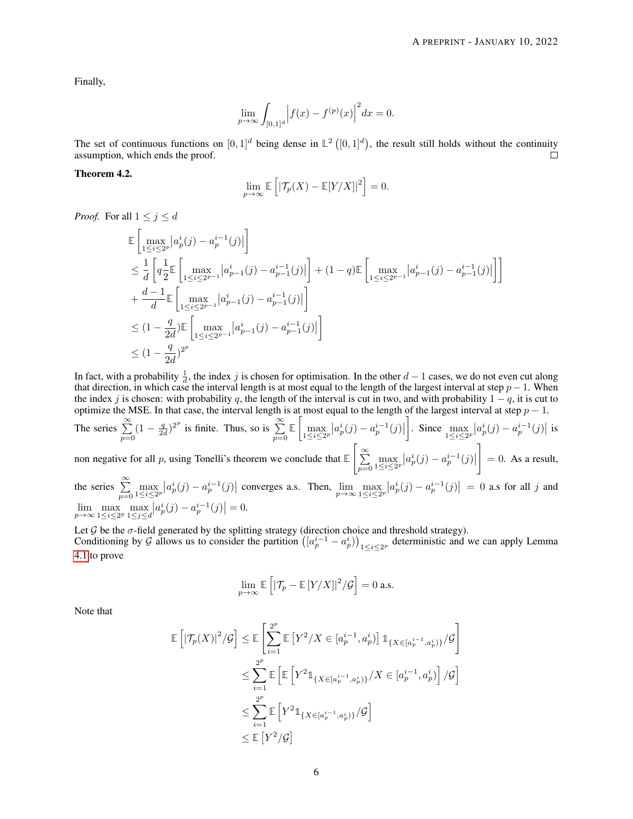Finally,

$$
\lim_{p \to \infty} \int_{[0,1]^d} \Big| f(x) - f^{(p)}(x) \Big|^2 dx = 0.
$$

The set of continuous functions on  $[0,1]^d$  being dense in  $\mathbb{L}^2([0,1]^d)$ , the result still holds without the continuity assumption, which ends the proof.  $\Box$ 

## <span id="page-5-0"></span>Theorem 4.2.

$$
\lim_{p \to \infty} \mathbb{E}\left[ \left| \mathcal{T}_p(X) - \mathbb{E}[Y/X] \right|^2 \right] = 0.
$$

*Proof.* For all  $1 \leq j \leq d$ 

$$
\label{eq:4.10} \begin{split} &\mathbb{E}\left[\max_{1\leq i\leq 2^p}\left|a_p^i(j)-a_p^{i-1}(j)\right|\right]\\ &\leq \frac{1}{d}\left[q\frac{1}{2}\mathbb{E}\left[\max_{1\leq i\leq 2^{p-1}}\left|a_{p-1}^i(j)-a_{p-1}^{i-1}(j)\right|\right] +(1-q)\mathbb{E}\left[\max_{1\leq i\leq 2^{p-1}}\left|a_{p-1}^i(j)-a_{p-1}^{i-1}(j)\right|\right]\right]\\ &+\frac{d-1}{d}\mathbb{E}\left[\max_{1\leq i\leq 2^{p-1}}\left|a_{p-1}^i(j)-a_{p-1}^{i-1}(j)\right|\right]\\ &\leq (1-\frac{q}{2d})\mathbb{E}\left[\max_{1\leq i\leq 2^{p-1}}\left|a_{p-1}^i(j)-a_{p-1}^{i-1}(j)\right|\right]\\ &\leq (1-\frac{q}{2d})^{2^p} \end{split}
$$

In fact, with a probability  $\frac{1}{d}$ , the index j is chosen for optimisation. In the other  $d-1$  cases, we do not even cut along that direction, in which case the interval length is at most equal to the length of the largest interval at step  $p - 1$ . When the index j is chosen: with probability q, the length of the interval is cut in two, and with probability  $1 - q$ , it is cut to optimize the MSE. In that case, the interval length is at most equal to the length of the largest interval at step  $p - 1$ .

The series  $\sum_{p=0}^{\infty} (1 - \frac{q}{2d})^{2^p}$  is finite. Thus, so is  $\sum_{p=0}^{\infty} \mathbb{E} \left[ \max_{1 \le i \le 2^p} |a_p^i(j) - a_p^{i-1}(j)| \right]$ . Since  $\max_{1 \le i \le 2^p} |a_p^i(j) - a_p^{i-1}(j)|$  is non negative for all p, using Tonelli's theorem we conclude that **E**  $\sqrt{\frac{8}{2}}$  $\sum_{p=0} \max_{1 \leq i \leq 2^p} |a_p^i(j) - a_p^{i-1}(j)|$ 1  $= 0$ . As a result, the series  $\sum_{p=0}^{\infty} \max_{1 \leq i \leq 2p} |a_p^i(j) - a_p^{i-1}(j)|$  converges a.s. Then,  $\lim_{p \to \infty} \max_{1 \leq i \leq 2p} |a_p^i(j) - a_p^{i-1}(j)| = 0$  a.s for all j and

$$
\lim_{p \to \infty} \max_{1 \le i \le 2^p} \max_{1 \le j \le d} |a_p^i(j) - a_p^{i-1}(j)| = 0.
$$

Let  $G$  be the  $\sigma$ -field generated by the splitting strategy (direction choice and threshold strategy). Conditioning by G allows us to consider the partition  $([a_p^{i-1} - a_p^i)]_{1 \le i \le 2^p}$  deterministic and we can apply Lemma [4.1](#page-4-0) to prove

$$
\lim_{p\to\infty}\mathbb{E}\left[\left|\mathcal{T}_p-\mathbb{E}\left[Y/X\right]\right|^2\middle/\mathcal{G}\right]=0\text{ a.s.}
$$

Note that

$$
\begin{aligned} \mathbb{E}\left[\left|\mathcal{T}_p(X)\right|^2\middle|\mathcal{G}\right] &\leq \mathbb{E}\left[\sum_{i=1}^{2^p}\mathbb{E}\left[Y^2/X\in [a_p^{i-1},a_p^i)\right]\mathbbm{1}_{\{X\in [a_p^{i-1},a_p^i)\}}\middle|\mathcal{G}\right] \\ &\leq \sum_{i=1}^{2^p}\mathbb{E}\left[\mathbb{E}\left[Y^2\mathbbm{1}_{\{X\in [a_p^{i-1},a_p^i)\}}\middle| X\in [a_p^{i-1},a_p^i)\right] \middle|\mathcal{G}\right] \\ &\leq \sum_{i=1}^{2^p}\mathbb{E}\left[Y^2\mathbbm{1}_{\{X\in [a_p^{i-1},a_p^i)\}}\middle|\mathcal{G}\right] \\ &\leq \mathbb{E}\left[Y^2/\mathcal{G}\right] \end{aligned}
$$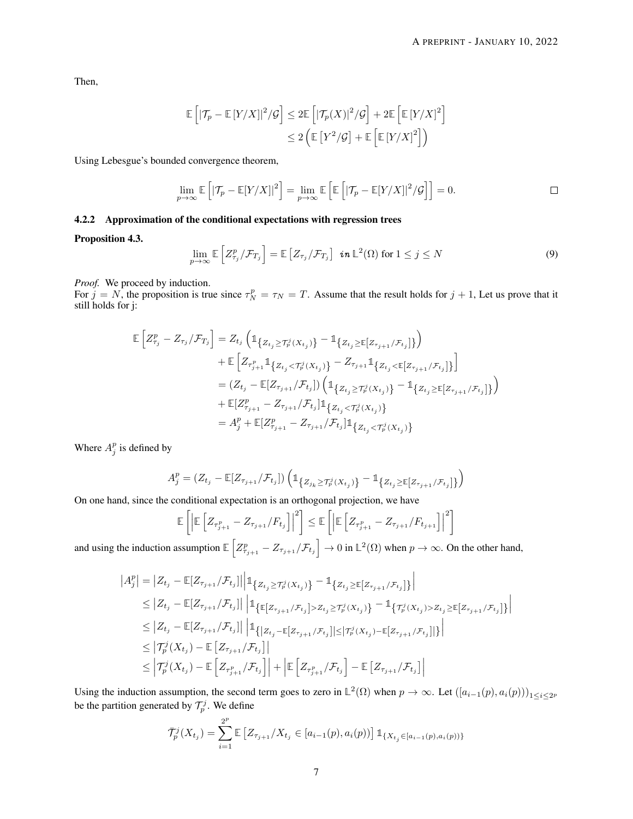Then,

$$
\mathbb{E}\left[ \left| \mathcal{T}_p - \mathbb{E}\left[ Y/X \right] \right|^2 / \mathcal{G} \right] \leq 2 \mathbb{E}\left[ \left| \mathcal{T}_p(X) \right|^2 / \mathcal{G} \right] + 2 \mathbb{E}\left[ \mathbb{E}\left[ Y/X \right]^2 \right] \leq 2 \left( \mathbb{E}\left[ Y^2 / \mathcal{G} \right] + \mathbb{E}\left[ \mathbb{E}\left[ Y/X \right]^2 \right] \right)
$$

Using Lebesgue's bounded convergence theorem,

$$
\lim_{p \to \infty} \mathbb{E}\left[ \left| \mathcal{T}_p - \mathbb{E}[Y/X] \right|^2 \right] = \lim_{p \to \infty} \mathbb{E}\left[ \mathbb{E}\left[ \left| \mathcal{T}_p - \mathbb{E}[Y/X] \right|^2 / \mathcal{G} \right] \right] = 0.
$$

# 4.2.2 Approximation of the conditional expectations with regression trees

# Proposition 4.3.

$$
\lim_{p \to \infty} \mathbb{E}\left[Z_{\tau_j}^p / \mathcal{F}_{T_j}\right] = \mathbb{E}\left[Z_{\tau_j} / \mathcal{F}_{T_j}\right] \text{ in } \mathbb{L}^2(\Omega) \text{ for } 1 \leq j \leq N
$$
\n(9)

*Proof.* We proceed by induction.

For  $j = N$ , the proposition is true since  $\tau_N^p = \tau_N = T$ . Assume that the result holds for  $j + 1$ , Let us prove that it still holds for j:

$$
\mathbb{E}\left[Z_{\tau_j}^p - Z_{\tau_j}/\mathcal{F}_{T_j}\right] = Z_{t_j}\left(\mathbb{1}_{\left\{Z_{t_j} \geq T_p^j(X_{t_j})\right\}} - \mathbb{1}_{\left\{Z_{t_j} \geq \mathbb{E}\left[Z_{\tau_{j+1}}/\mathcal{F}_{t_j}\right]\right\}}\right) \n+ \mathbb{E}\left[Z_{\tau_{j+1}^p} \mathbb{1}_{\left\{Z_{t_j} < T_p^j(X_{t_j})\right\}} - Z_{\tau_{j+1}} \mathbb{1}_{\left\{Z_{t_j} < \mathbb{E}\left[Z_{\tau_{j+1}}/\mathcal{F}_{t_j}\right]\right\}}\right] \n= (Z_{t_j} - \mathbb{E}[Z_{\tau_{j+1}}/\mathcal{F}_{t_j}])\left(\mathbb{1}_{\left\{Z_{t_j} \geq T_p^j(X_{t_j})\right\}} - \mathbb{1}_{\left\{Z_{t_j} \geq \mathbb{E}\left[Z_{\tau_{j+1}}/\mathcal{F}_{t_j}\right]\right\}}\right) \n+ \mathbb{E}[Z_{\tau_{j+1}}^p - Z_{\tau_{j+1}}/\mathcal{F}_{t_j}] \mathbb{1}_{\left\{Z_{t_j} < T_p^j(X_{t_j})\right\}} \n= A_j^p + \mathbb{E}[Z_{\tau_{j+1}}^p - Z_{\tau_{j+1}}/\mathcal{F}_{t_j}] \mathbb{1}_{\left\{Z_{t_j} < T_p^j(X_{t_j})\right\}}
$$

Where  $A_j^p$  is defined by

$$
A_j^p = (Z_{t_j} - \mathbb{E}[Z_{\tau_{j+1}}/\mathcal{F}_{t_j}]) \left( \mathbb{1}_{\left\{ Z_{j_k} \geq \mathcal{T}_p^j(X_{t_j}) \right\}} - \mathbb{1}_{\left\{ Z_{t_j} \geq \mathbb{E}[Z_{\tau_{j+1}}/\mathcal{F}_{t_j}] \right\}} \right)
$$

On one hand, since the conditional expectation is an orthogonal projection, we have

$$
\mathbb{E}\left[\left|\mathbb{E}\left[Z_{\tau_{j+1}^p} - Z_{\tau_{j+1}}/F_{t_j}\right]\right|^2\right] \leq \mathbb{E}\left[\left|\mathbb{E}\left[Z_{\tau_{j+1}^p} - Z_{\tau_{j+1}}/F_{t_{j+1}}\right]\right|^2\right]
$$

and using the induction assumption  $\mathbb{E}\left[Z_{\tau_{j+1}}^p - Z_{\tau_{j+1}}/\mathcal{F}_{t_j}\right] \to 0$  in  $\mathbb{L}^2(\Omega)$  when  $p \to \infty$ . On the other hand,

$$
|A_{j}^{p}| = |Z_{t_{j}} - \mathbb{E}[Z_{\tau_{j+1}}/\mathcal{F}_{t_{j}}]||_{\mathbb{1}_{\left\{Z_{t_{j}} \geq \mathcal{T}_{p}^{j}(X_{t_{j}})\right\}} - \mathbb{1}_{\left\{Z_{t_{j}} \geq \mathbb{E}[Z_{\tau_{j+1}}/\mathcal{F}_{t_{j}}]\right\}}|
$$
  
\n
$$
\leq |Z_{t_{j}} - \mathbb{E}[Z_{\tau_{j+1}}/\mathcal{F}_{t_{j}}]||_{\mathbb{1}_{\left\{\mathbb{E}[Z_{\tau_{j+1}}/\mathcal{F}_{t_{j}}] > Z_{t_{j}} \geq \mathcal{T}_{p}^{j}(X_{t_{j}})\right\}} - \mathbb{1}_{\left\{\mathcal{T}_{p}^{j}(X_{t_{j}}) > Z_{t_{j}} \geq \mathbb{E}[Z_{\tau_{j+1}}/\mathcal{F}_{t_{j}}]\right\}}|
$$
  
\n
$$
\leq |Z_{t_{j}} - \mathbb{E}[Z_{\tau_{j+1}}/\mathcal{F}_{t_{j}}]||_{\mathbb{1}_{\left\{|Z_{t_{j}} - \mathbb{E}[Z_{\tau_{j+1}}/\mathcal{F}_{t_{j}}]| \leq |\mathcal{T}_{p}^{j}(X_{t_{j}}) - \mathbb{E}[Z_{\tau_{j+1}}/\mathcal{F}_{t_{j}}]\right\}}|
$$
  
\n
$$
\leq |\mathcal{T}_{p}^{j}(X_{t_{j}}) - \mathbb{E}[Z_{\tau_{p+1}}/\mathcal{F}_{t_{j}}]||
$$
  
\n
$$
\leq |\mathcal{T}_{p}^{j}(X_{t_{j}}) - \mathbb{E}[Z_{\tau_{p+1}}/\mathcal{F}_{t_{j}}] + |\mathbb{E}[Z_{\tau_{p+1}}/\mathcal{F}_{t_{j}}] - \mathbb{E}[Z_{\tau_{j+1}}/\mathcal{F}_{t_{j}}]|
$$

Using the induction assumption, the second term goes to zero in  $\mathbb{L}^2(\Omega)$  when  $p \to \infty$ . Let  $([a_{i-1}(p), a_i(p))]_{1 \le i \le 2^p}$ be the partition generated by  $\mathcal{T}_p^j$ . We define

$$
\bar{T}_p^j(X_{t_j}) = \sum_{i=1}^{2^p} \mathbb{E}\left[Z_{\tau_{j+1}}/X_{t_j} \in [a_{i-1}(p), a_i(p)]\right] \mathbb{1}_{\{X_{t_j} \in [a_{i-1}(p), a_i(p))\}}
$$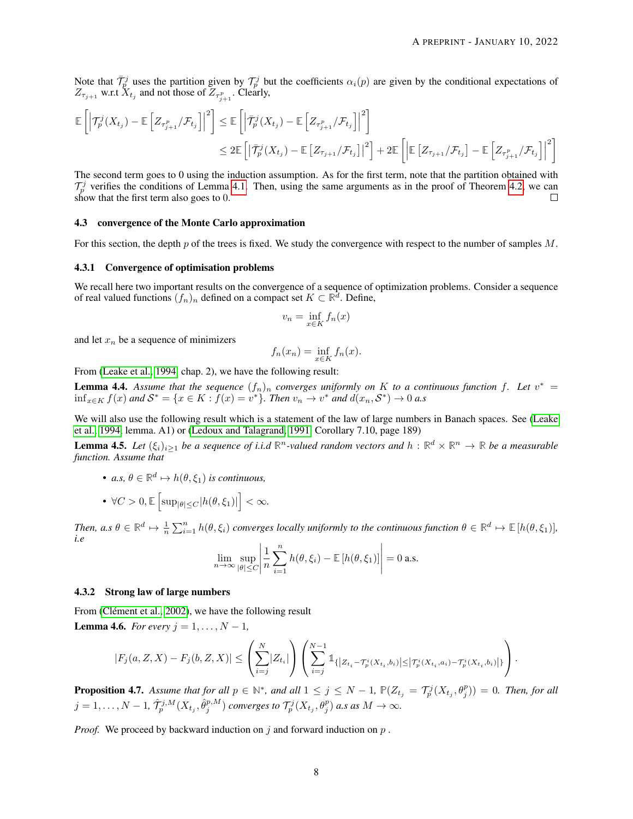Note that  $\bar{\mathcal{T}}_p^j$  uses the partition given by  $\mathcal{T}_p^j$  but the coefficients  $\alpha_i(p)$  are given by the conditional expectations of  $Z_{\tau_{j+1}}$  w.r.t  $X_{t_j}$  and not those of  $Z_{\tau_{j+1}^p}$ . Clearly,

$$
\mathbb{E}\left[\left|\mathcal{T}_{p}^{j}(X_{t_{j}})-\mathbb{E}\left[Z_{\tau_{j+1}^{p}}/\mathcal{F}_{t_{j}}\right]\right|^{2}\right] \leq \mathbb{E}\left[\left|\bar{\mathcal{T}}_{p}^{j}(X_{t_{j}})-\mathbb{E}\left[Z_{\tau_{j+1}^{p}}/\mathcal{F}_{t_{j}}\right]\right|^{2}\right] \n\leq 2\mathbb{E}\left[\left|\bar{\mathcal{T}}_{p}^{j}(X_{t_{j}})-\mathbb{E}\left[Z_{\tau_{j+1}}/\mathcal{F}_{t_{j}}\right]\right|^{2}\right] + 2\mathbb{E}\left[\left|\mathbb{E}\left[Z_{\tau_{j+1}}/\mathcal{F}_{t_{j}}\right]-\mathbb{E}\left[Z_{\tau_{j+1}^{p}}/\mathcal{F}_{t_{j}}\right]\right|^{2}\right]
$$

The second term goes to 0 using the induction assumption. As for the first term, note that the partition obtained with  $\mathcal{T}_p^j$  verifies the conditions of Lemma [4.1.](#page-4-0) Then, using the same arguments as in the proof of Theorem [4.2,](#page-5-0) we can show that the first term also goes to 0.

## 4.3 convergence of the Monte Carlo approximation

For this section, the depth  $p$  of the trees is fixed. We study the convergence with respect to the number of samples  $M$ .

#### 4.3.1 Convergence of optimisation problems

We recall here two important results on the convergence of a sequence of optimization problems. Consider a sequence of real valued functions  $(f_n)_n$  defined on a compact set  $K \subset \mathbb{R}^d$ . Define,

$$
v_n = \inf_{x \in K} f_n(x)
$$

and let  $x_n$  be a sequence of minimizers

$$
f_n(x_n) = \inf_{x \in K} f_n(x).
$$

From [\(Leake et al., 1994,](#page-20-15) chap. 2), we have the following result:

<span id="page-7-1"></span>**Lemma 4.4.** Assume that the sequence  $(f_n)_n$  converges uniformly on K to a continuous function f. Let  $v^* =$  $\inf_{x \in K} f(x)$  and  $S^* = \{x \in K : \tilde{f}(x) = v^*\}$ *. Then*  $v_n \to v^*$  and  $d(x_n, S^*) \to 0$  a.s

We will also use the following result which is a statement of the law of large numbers in Banach spaces. See [\(Leake](#page-20-15) [et al., 1994,](#page-20-15) lemma. A1) or [\(Ledoux and Talagrand, 1991,](#page-20-16) Corollary 7.10, page 189)

<span id="page-7-0"></span>**Lemma 4.5.** Let  $(\xi_i)_{i\geq 1}$  be a sequence of i.i.d  $\mathbb{R}^n$ -valued random vectors and  $h: \mathbb{R}^d \times \mathbb{R}^n \to \mathbb{R}$  be a measurable *function. Assume that*

• *a.s,*  $\theta \in \mathbb{R}^d \mapsto h(\theta, \xi_1)$  *is continuous,* 

• 
$$
\forall C > 0, \mathbb{E}\left[\sup_{|\theta| \le C} |h(\theta, \xi_1)|\right] < \infty.
$$

*Then, a.s*  $\theta \in \mathbb{R}^d \mapsto \frac{1}{n} \sum_{i=1}^n h(\theta, \xi_i)$  *converges locally uniformly to the continuous function*  $\theta \in \mathbb{R}^d \mapsto \mathbb{E}[h(\theta, \xi_1)],$ *i.e*

$$
\lim_{n \to \infty} \sup_{|\theta| \le C} \left| \frac{1}{n} \sum_{i=1}^n h(\theta, \xi_i) - \mathbb{E} \left[ h(\theta, \xi_1) \right] \right| = 0 \text{ a.s.}
$$

#### 4.3.2 Strong law of large numbers

From [\(Clément et al., 2002\)](#page-20-14), we have the following result

<span id="page-7-2"></span>**Lemma 4.6.** *For every*  $j = 1, ..., N - 1$ ,

$$
|F_j(a,Z,X)-F_j(b,Z,X)| \leq \left(\sum_{i=j}^N |Z_{t_i}|\right) \left(\sum_{i=j}^{N-1} \mathbb{1}_{\{|Z_{t_i}-\mathcal{T}_p^i(X_{t_i},b_i)| \leq |\mathcal{T}_p^i(X_{t_i},a_i)-\mathcal{T}_p^i(X_{t_i},b_i)|\}}\right).
$$

<span id="page-7-3"></span>**Proposition 4.7.** Assume that for all  $p \in \mathbb{N}^*$ , and all  $1 \leq j \leq N-1$ ,  $\mathbb{P}(Z_{t_j} = \mathcal{T}_p^j(X_{t_j}, \theta_j^p)) = 0$ . Then, for all  $j=1,\ldots,N-1,\,\hat{\mathcal{T}}^{j,M}_p(X_{t_j},\hat{\theta}^{p,M}_j)$  converges to  $\mathcal{T}^{j}_p(X_{t_j},\theta^{p}_j)$  a.s as  $M\to\infty$ .

*Proof.* We proceed by backward induction on j and forward induction on p.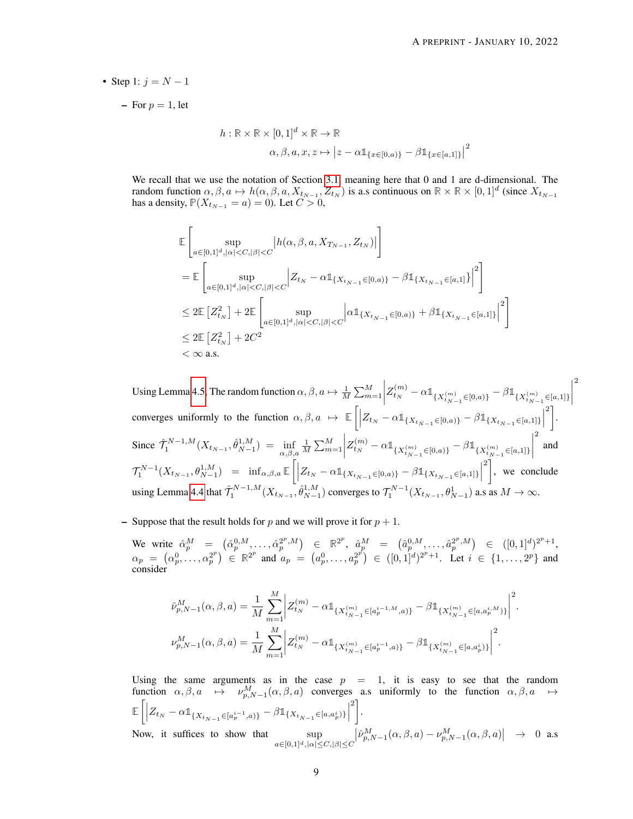- Step 1:  $i = N 1$ 
	- $-$  For  $p = 1$ , let

$$
h: \mathbb{R} \times \mathbb{R} \times [0,1]^d \times \mathbb{R} \to \mathbb{R}
$$

$$
\alpha, \beta, a, x, z \mapsto |z - \alpha \mathbb{1}_{\{x \in [0,a)\}} - \beta \mathbb{1}_{\{x \in [a,1]\}}|^2
$$

We recall that we use the notation of Section [3.1,](#page-2-0) meaning here that 0 and 1 are d-dimensional. The random function  $\alpha, \beta, a \mapsto h(\alpha, \beta, a, X_{t_{N-1}}, Z_{t_N})$  is a.s continuous on  $\mathbb{R} \times \mathbb{R} \times [0, 1]^d$  (since  $X_{t_{N-1}}$ has a density,  $P(X_{t_{N-1}} = a) = 0$ ). Let  $C > 0$ ,

$$
\label{eq:4.10} \begin{split} &\mathbb{E}\left[\sup_{a\in[0,1]^d,|\alpha|< C,|\beta|< C}|h(\alpha,\beta,a,X_{T_{N-1}},Z_{t_N})|\right]\\ &=\mathbb{E}\left[\sup_{a\in[0,1]^d,|\alpha|< C,|\beta|< C}\Big|Z_{t_N}-\alpha \mathbb{1}_{\{X_{t_{N-1}}\in[0,a)\}}-\beta \mathbb{1}_{\{X_{t_{N-1}}\in[a,1]\}}\Big|^2\right]\\ &\leq 2\mathbb{E}\left[Z_{t_N}^2\right]+2\mathbb{E}\left[\sup_{a\in[0,1]^d,|\alpha|< C,|\beta|< C}\Big|\alpha \mathbb{1}_{\{X_{t_{N-1}}\in[0,a)\}}+\beta \mathbb{1}_{\{X_{t_{N-1}}\in[a,1]\}}\Big|^2\right]\\ &\leq 2\mathbb{E}\left[Z_{t_N}^2\right]+2C^2\\ &<\infty \text{ a.s.} \end{split}
$$

Using Lemma [4.5,](#page-7-0) The random function  $\alpha, \beta, a \mapsto \frac{1}{M} \sum_{m=1}^{M}$   $Z_{t_N}^{(m)} - \alpha \mathbb{1}_{\{X_{t_{N-1}}^{(m)} \in [0,a)\}} - \beta \mathbb{1}_{\{X_{t_{N-1}}^{(m)} \in [a,1]\}}$  $\begin{array}{c} \begin{array}{c} \begin{array}{c} \end{array} \\ \begin{array}{c} \end{array} \end{array} \end{array}$ 2 converges uniformly to the function  $\alpha, \beta, a \mapsto \mathbb{E}\left[ \left| Z_{t_N} - \alpha \mathbb{1}_{\{X_{t_{N-1}} \in [0,a)\}} - \beta \mathbb{1}_{\{X_{t_{N-1}} \in [a,1]\}} \right| \right]$  $\left.\begin{matrix}2\end{matrix}\right\}$ . Since  $\hat{\mathcal{T}}_1^{N-1,M}(X_{t_{N-1}}, \hat{\theta}_{N-1}^{1,M}) = \inf_{\alpha, \beta, a}$  $\frac{1}{M}\sum_{m=1}^{M}$  $\begin{array}{c} \hline \end{array}$  $Z_{t_N}^{(m)} - \alpha \mathbb{1}_{\{X_{t_{N-1}}^{(m)} \in [0,a)\}} - \beta \mathbb{1}_{\{X_{t_{N-1}}^{(m)} \in [a,1]\}}$  $\begin{array}{c} \hline \rule{0pt}{2.2ex} \\ \rule{0pt}{2.2ex} \end{array}$ 2 and  $\mathcal{T}_1^{N-1}(X_{t_{N-1}}, \theta_{N-1}^{1,M}) = \inf_{\alpha, \beta, a} \mathbb{E}\left[\left| Z_{t_N} - \alpha \mathbb{1}_{\{X_{t_{N-1}} \in [0,a)\}} - \beta \mathbb{1}_{\{X_{t_{N-1}} \in [a,1]\}} \right|\right]$  $\left\lceil \frac{2}{n} \right\rceil$ , we conclude using Lemma [4.4](#page-7-1) that  $\hat{\mathcal{T}}_1^{N-1,M}(X_{t_{N-1}}, \hat{\theta}_{N-1}^{1,M})$  converges to  $\mathcal{T}_1^{N-1}(X_{t_{N-1}}, \theta_{N-1}^1)$  a.s as  $M \to \infty$ .

- Suppose that the result holds for p and we will prove it for  $p + 1$ .

We write  $\hat{\alpha}_p^M = (\hat{\alpha}_p^{0,M}, \dots, \hat{\alpha}_p^{2^p,M}) \in \mathbb{R}^{2^p}, \hat{\alpha}_p^M = (\hat{\alpha}_p^{0,M}, \dots, \hat{\alpha}_p^{2^p,M}) \in ([0,1]^d)^{2^p+1},$  $\alpha_p = (\alpha_p^0, \ldots, \alpha_p^{2^p}) \in \mathbb{R}^{2^p}$  and  $a_p = (a_p^0, \ldots, a_p^{2^p}) \in ([0, 1]^d)^{2^p + 1}$ . Let  $i \in \{1, \ldots, 2^p\}$  and consider

$$
\begin{split} &\hat{\nu}_{p,N-1}^{M}(\alpha,\beta,a) = \frac{1}{M} \sum_{m=1}^{M} \bigg| Z_{t_{N}}^{(m)} - \alpha \mathbb{1}_{\{X_{t_{N-1}}^{(m)} \in [a_{p}^{i-1,M},a)\}} - \beta \mathbb{1}_{\{X_{t_{N-1}}^{(m)} \in [a,a_{p}^{i,M})\}} \bigg|^2. \\ &\nu_{p,N-1}^{M}(\alpha,\beta,a) = \frac{1}{M} \sum_{m=1}^{M} \bigg| Z_{t_{N}}^{(m)} - \alpha \mathbb{1}_{\{X_{t_{N-1}}^{(m)} \in [a_{p}^{i-1},a)\}} - \beta \mathbb{1}_{\{X_{t_{N-1}}^{(m)} \in [a,a_{p}^{i})\}} \bigg|^2. \end{split}
$$

Using the same arguments as in the case  $p = 1$ , it is easy to see that the random function  $\alpha, \beta, a \mapsto \nu_{p,N-1}^M(\alpha, \beta, a)$  converges a.s uniformly to the function  $\alpha, \beta, a \mapsto$  $\mathbb{E}\left[\left|Z_{t_N}-\alpha 1\!\!1_{\{X_{t_{N-1}}\in [a^{i-1}_p,a)\}}-\beta 1\!\!1_{\{X_{t_{N-1}}\in [a,a^i_p)\}}\right|\right.$  $\left.\begin{matrix}2\end{matrix}\right\}$ . Now, it suffices to show that sup  $a \in [0,1]^d, |\alpha| \leq C, |\beta| \leq C$  $\left| \hat{\nu}_{p,N-1}^{M}(\alpha,\beta,a)-\nu_{p,N-1}^{M}(\alpha,\beta,a) \right| \rightarrow 0$  a.s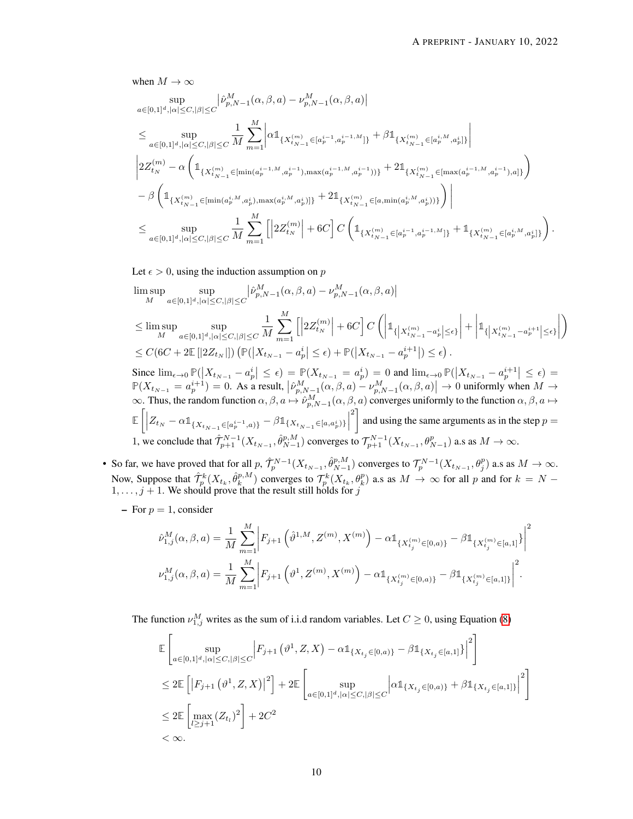when  $M \to \infty$ 

$$
\begin{split} & \sup_{a\in[0,1]^d,|\alpha|\leq C,|\beta|\leq C}|\widehat{\nu}^M_{p,N-1}(\alpha,\beta,a)-\nu^M_{p,N-1}(\alpha,\beta,a)|\\ & \leq \sup_{a\in[0,1]^d,|\alpha|\leq C,|\beta|\leq C}\frac{1}{M}\sum_{m=1}^M\bigg|\alpha\mathbb{1}_{\{X_{t_{N-1}}^{(m)}\in[a^{i-1}_p,a^{i-1,M}_p]\}}+\beta\mathbb{1}_{\{X_{t_{N-1}}^{(m)}\in[a^{i,M}_p,a^{i}_p]\}}\bigg|\\ &\bigg|2Z^{(m)}_{t_N}-\alpha\left(\mathbb{1}_{\{X_{t_{N-1}}^{(m)}\in[\min(a^{i-1,M}_p,a^{i-1}),\max(a^{i-1,M}_p,a^{i-1}))\}}+2\mathbb{1}_{\{X_{t_{N-1}}^{(m)}\in[\max(a^{i-1,M}_p,a^{i-1}),a]\}}\right)\\ &-\beta\left(\mathbb{1}_{\{X_{t_{N-1}}^{(m)}\in[\min(a^{i,M}_p,a^{i}_p),\max(a^{i,M}_p,a^{i}_p)]\}}+2\mathbb{1}_{\{X_{t_{N-1}}^{(m)}\in[a,\min(a^{i,M}_p,a^{i}_p))\}}\right)\bigg|\\ &\leq \sup_{a\in[0,1]^d,|\alpha|\leq C,|\beta|\leq C}\frac{1}{M}\sum_{m=1}^M\bigg[\bigg|2Z^{(m)}_{t_N}\bigg|+6C\bigg]C\left(\mathbb{1}_{\{X_{t_{N-1}}^{(m)}\in[a^{i-1}_p,a^{i-1,M}_p]\}}+\mathbb{1}_{\{X_{t_{N-1}}^{(m)}\in[a^{i,M}_p,a^{i}_p]\}}\right). \end{split}
$$

Let  $\epsilon > 0$ , using the induction assumption on p

$$
\begin{aligned} &\limsup_{M}\sup_{a\in[0,1]^d,|\alpha|\leq C,|\beta|\leq C}\bigl|\widehat{\nu}^M_{p,N-1}\bigl(\alpha,\beta,a\bigr)-\nu^M_{p,N-1}\bigl(\alpha,\beta,a\bigr)\bigr|\\ &\leq \limsup_{M}\sup_{a\in[0,1]^d,|\alpha|\leq C,|\beta|\leq C}\frac{1}{M}\sum_{m=1}^M\Bigl[\Bigl|2Z^{(m)}_{t_N}\Bigr|+6C\Bigr]C\left(\Bigl|\mathbb{1}_{\{\left|X^{(m)}_{t_{N-1}}-a^i_p\right|\leq \epsilon\}}\right|+\Bigl|\mathbb{1}_{\{\left|X^{(m)}_{t_{N-1}}-a^{i+1}_p\right|\leq \epsilon\}}\Bigr|\right)\\ &\leq C\bigl(6C+2\mathbb{E}\left[|2Z_{t_N}|\right]\big)\left(\mathbb{P}\bigl(\bigl|X_{t_{N-1}}-a^i_p\bigr|\leq \epsilon\bigr)+\mathbb{P}\bigl(\bigl|X_{t_{N-1}}-a^{i+1}_p\bigr|\right)\leq \epsilon\bigr)\,. \end{aligned}
$$

Since  $\lim_{\epsilon \to 0} \mathbb{P}(|X_{t_{N-1}} - a_p^i| \leq \epsilon) = \mathbb{P}(X_{t_{N-1}} = a_p^i) = 0$  and  $\lim_{\epsilon \to 0} \mathbb{P}(|X_{t_{N-1}} - a_p^{i+1}| \leq \epsilon) =$  $\mathbb{P}(X_{t_{N-1}} = a_p^{i+1}) = 0$ . As a result,  $\left| \hat{\nu}_{p,N-1}^M(\alpha,\beta,a) - \nu_{p,N-1}^M(\alpha,\beta,a) \right| \to 0$  uniformly when  $M \to$  $\infty$ . Thus, the random function  $\alpha, \beta, a \mapsto \hat{\nu}_{p,N-1}^M(\alpha, \beta, a)$  converges uniformly to the function  $\alpha, \beta, a \mapsto$  $\mathbb{E}\left[\left|Z_{t_N}-\alpha 1\!\!1_{\{X_{t_{N-1}}\in [a^{i-1}_p,a)\}}-\beta 1\!\!1_{\{X_{t_{N-1}}\in [a,a^i_p)\}}\right|\right.$ <sup>2</sup> and using the same arguments as in the step  $p =$ 1, we conclude that  $\hat{\mathcal{T}}_{p+1}^{N-1}(X_{t_{N-1}}, \hat{\theta}_{N-1}^{p,M})$  converges to  $\mathcal{T}_{p+1}^{N-1}(X_{t_{N-1}}, \theta_{N-1}^{p})$  a.s as  $M \to \infty$ .

- So far, we have proved that for all  $p$ ,  $\hat{\mathcal{T}}_p^{N-1}(X_{t_{N-1}}, \hat{\theta}_{N-1}^{p,M})$  converges to  $\mathcal{T}_p^{N-1}(X_{t_{N-1}}, \theta_j^p)$  a.s as  $M \to \infty$ . Now, Suppose that  $\hat{\mathcal{T}}_p^k(X_{t_k}, \hat{\theta}_k^{p,M})$  converges to  $\mathcal{T}_p^k(X_{t_k}, \theta_k^p)$  a.s as  $M \to \infty$  for all p and for  $k = N 1, \ldots, j + 1$ . We should prove that the result still holds for j
	- For  $p = 1$ , consider

$$
\hat{\nu}_{1,j}^{M}(\alpha,\beta,a) = \frac{1}{M} \sum_{m=1}^{M} \left| F_{j+1} \left( \hat{\vartheta}^{1,M}, Z^{(m)}, X^{(m)} \right) - \alpha \mathbb{1}_{\{X_{t_j}^{(m)} \in [0,a)\}} - \beta \mathbb{1}_{\{X_{t_j}^{(m)} \in [a,1]\}} \right|^{2}
$$
  

$$
\nu_{1,j}^{M}(\alpha,\beta,a) = \frac{1}{M} \sum_{m=1}^{M} \left| F_{j+1} \left( \vartheta^1, Z^{(m)}, X^{(m)} \right) - \alpha \mathbb{1}_{\{X_{t_j}^{(m)} \in [0,a)\}} - \beta \mathbb{1}_{\{X_{t_j}^{(m)} \in [a,1]\}} \right|^{2}.
$$

The function  $\nu_{1,j}^M$  writes as the sum of i.i.d random variables. Let  $C \ge 0$ , using Equation [\(8\)](#page-3-0)

$$
\label{eq:bound_1} \begin{aligned} &\mathbb{E}\left[\sup_{a\in[0,1]^d,|\alpha|\leq C,|\beta|\leq C}\Bigl|F_{j+1}\left(\vartheta^1,Z,X\right)-\alpha\mathbb{1}_{\{X_{t_j}\in[0,a)\}}-\beta\mathbb{1}_{\{X_{t_j}\in[a,1]\}}\Bigr|^2\right]\\ &\leq 2\mathbb{E}\left[\left|F_{j+1}\left(\vartheta^1,Z,X\right)\right|^2\right]+2\mathbb{E}\left[\sup_{a\in[0,1]^d,|\alpha|\leq C,|\beta|\leq C}\Bigl|\alpha\mathbb{1}_{\{X_{t_j}\in[0,a)\}}+\beta\mathbb{1}_{\{X_{t_j}\in[a,1]\}}\Bigr|^2\right]\\ &\leq 2\mathbb{E}\left[\max_{l\geq j+1}(Z_{t_l})^2\right]+2C^2\\ &<\infty. \end{aligned}
$$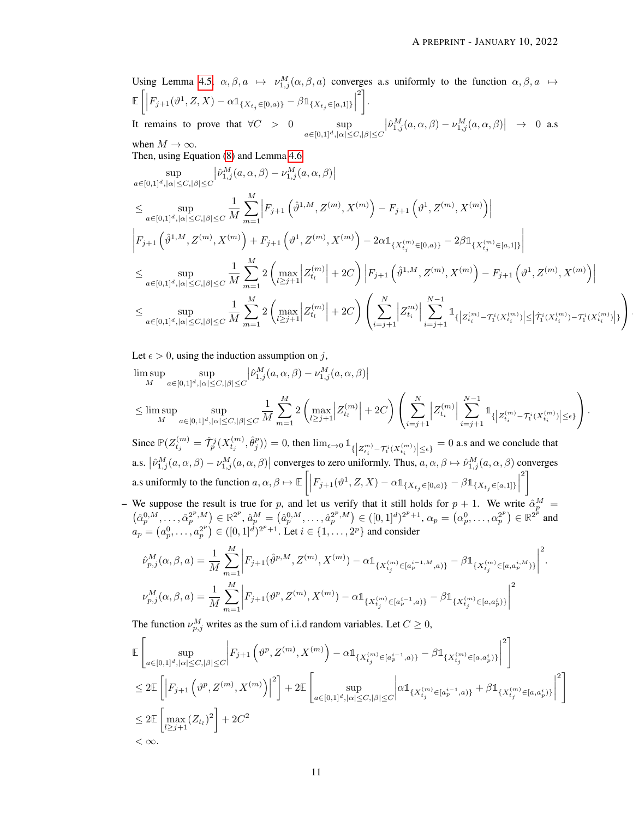Using Lemma [4.5,](#page-7-0)  $\alpha, \beta, a \mapsto \nu_{1,j}^M(\alpha, \beta, a)$  converges a.s uniformly to the function  $\alpha, \beta, a \mapsto$  $\mathbb{E}\left[\Big|F_{j+1}(\vartheta^1, Z, X) - \alpha \mathbb{1}_{\{X_{t_j} \in [0,a)\}} - \beta \mathbb{1}_{\{X_{t_j} \in [a,1]\}}\Big|\right]$  $\left.\begin{matrix}2\end{matrix}\right\}$ . It remains to prove that  $\forall C > 0$  sup  $a \in [0,1]^d, |\alpha| \leq C, |\beta| \leq C$  $\left|\hat{\nu}_{1,j}^M(a,\alpha,\beta)-\nu_{1,j}^M(a,\alpha,\beta)\right| \rightarrow 0$  a.s

when  $M \to \infty$ . Then, using Equation [\(8\)](#page-3-0) and Lemma [4.6](#page-7-2)

$$
\begin{split} & \sup_{a\in[0,1]^d,|\alpha|\leq C,|\beta|\leq C}\big|\hat{\nu}_{1,j}^M(a,\alpha,\beta)-\nu_{1,j}^M(a,\alpha,\beta)\big| \\ & \leq \sup_{a\in[0,1]^d,|\alpha|\leq C,|\beta|\leq C}\frac{1}{M}\sum_{m=1}^M\Big|F_{j+1}\left(\hat{\vartheta}^{1,M},Z^{(m)},X^{(m)}\right)-F_{j+1}\left(\vartheta^{1},Z^{(m)},X^{(m)}\right)\Big| \\ & \Big|F_{j+1}\left(\hat{\vartheta}^{1,M},Z^{(m)},X^{(m)}\right)+F_{j+1}\left(\vartheta^{1},Z^{(m)},X^{(m)}\right)-2\alpha\mathbb{1}_{\{X_{t_j}^{(m)}\in[0,a)\}}-2\beta\mathbb{1}_{\{X_{t_j}^{(m)}\in[a,1]\}}\Big| \\ & \leq \sup_{a\in[0,1]^d,|\alpha|\leq C,|\beta|\leq C}\frac{1}{M}\sum_{m=1}^M2\left(\max_{l\geq j+1}\Big|Z_{t_l}^{(m)}\Big|+2C\right)\Big|F_{j+1}\left(\hat{\vartheta}^{1,M},Z^{(m)},X^{(m)}\right)-F_{j+1}\left(\vartheta^{1},Z^{(m)},X^{(m)}\right)\Big| \\ & \leq \sup_{a\in[0,1]^d,|\alpha|\leq C,|\beta|\leq C}\frac{1}{M}\sum_{m=1}^M2\left(\max_{l\geq j+1}\Big|Z_{t_l}^{(m)}\Big|+2C\right)\left(\sum_{i=j+1}^N\Big|Z_{t_i}^{m)}\Big|\sum_{i=j+1}^{N-1}\mathbb{1}_{\{\Big|Z_{t_l}^{(m)}-T_l^i(X_{t_l}^{(m)})\Big|\leq \Big|\hat{\mathcal{T}}_l^i(X_{t_l}^{(m)})-T_l^i(X_{t_l}^{(m)})\Big|\right)} \end{split}
$$

Let  $\epsilon > 0$ , using the induction assumption on j,

$$
\begin{aligned} &\limsup_{M}\sup_{a\in[0,1]^d,|\alpha|\leq C,|\beta|\leq C}\left|\hat{\nu}_{1,j}^M(a,\alpha,\beta)-\nu_{1,j}^M(a,\alpha,\beta)\right|\\ &\leq \limsup_{M}\sup_{a\in[0,1]^d,|\alpha|\leq C,|\beta|\leq C}\frac{1}{M}\sum_{m=1}^M2\left(\max_{l\geq j+1}\left|Z_{t_l}^{(m)}\right|+2C\right)\left(\sum_{i=j+1}^N\left|Z_{t_i}^{(m)}\right|\sum_{i=j+1}^{N-1}\mathbb{1}_{\left\{\left|Z_{t_i}^{(m)}-T_i^i(X_{t_i}^{(m)})\right|\leq \epsilon\right\}}\right). \end{aligned}
$$

Since  $\mathbb{P}(Z_{t_j}^{(m)} = \hat{\mathcal{T}}_p^j(X_{t_j}^{(m)}, \hat{\theta}_j^p)) = 0$ , then  $\lim_{\epsilon \to 0} \mathbb{1}_{\{|Z_{t_i}^m - \mathcal{T}_1^i(X_{t_i}^{(m)})| \le \epsilon\}} = 0$  a.s and we conclude that a.s.  $\left|\hat{\nu}_{1,j}^M(a,\alpha,\beta)-\nu_{1,j}^M(a,\alpha,\beta)\right|$  converges to zero uniformly. Thus,  $a,\alpha,\beta\mapsto\hat{\nu}_{1,j}^M(a,\alpha,\beta)$  converges a.s uniformly to the function  $a, \alpha, \beta \mapsto \mathbb{E}\left[\left|F_{j+1}(\vartheta^1, Z, X) - \alpha \mathbb{1}_{\{X_{t_j} \in [0, a)\}} - \beta \mathbb{1}_{\{X_{t_j} \in [a, 1]\}}\right|\right]$  $^{2}$ 

– We suppose the result is true for p, and let us verify that it still holds for  $p + 1$ . We write  $\hat{\alpha}_p^M$  =  $(\hat{\alpha}_p^{0,M},\ldots,\hat{\alpha}_p^{2^p,M})\in\mathbb{R}^{2^p}, \hat{a}_p^M=(\hat{a}_p^{0,M},\ldots,\hat{a}_p^{2^p,M})\in([0,1]^d)^{2^p+1}, \alpha_p=(\alpha_p^{0},\ldots,\alpha_p^{2^p})\in\mathbb{R}^{2^p}$  and  $a_p = (a_p^0, \ldots, a_p^{2^p}) \in ([0, 1]^d)^{2^p + 1}$ . Let  $i \in \{1, \ldots, 2^p\}$  and consider

$$
\hat{\nu}_{p,j}^{M}(\alpha,\beta,a) = \frac{1}{M} \sum_{m=1}^{M} \Big| F_{j+1}(\hat{\vartheta}^{p,M}, Z^{(m)}, X^{(m)}) - \alpha \mathbb{1}_{\{X_{t_j}^{(m)} \in [a_p^{i-1,M}, a)\}} - \beta \mathbb{1}_{\{X_{t_j}^{(m)} \in [a, a_p^{i,M})\}} \Big|^2.
$$
  

$$
\nu_{p,j}^{M}(\alpha,\beta,a) = \frac{1}{M} \sum_{m=1}^{M} \Big| F_{j+1}(\vartheta^p, Z^{(m)}, X^{(m)}) - \alpha \mathbb{1}_{\{X_{t_j}^{(m)} \in [a_p^{i-1}, a)\}} - \beta \mathbb{1}_{\{X_{t_j}^{(m)} \in [a, a_p^{i})\}} \Big|^2.
$$

The function  $\nu_{p,j}^M$  writes as the sum of i.i.d random variables. Let  $C \geq 0$ ,

$$
\label{eq:bound_1} \begin{split} &\mathbb{E}\left[\sup_{a\in[0,1]^d,|\alpha|\leq C,|\beta|\leq C}\bigg|F_{j+1}\left(\vartheta^p,Z^{(m)},X^{(m)}\right)-\alpha\mathbb{1}_{\{X_{t_j}^{(m)}\in[a_p^{i-1},a)\}}-\beta\mathbb{1}_{\{X_{t_j}^{(m)}\in[a,a_p^i)\}}\bigg|^2\right]\\ &\leq 2\mathbb{E}\left[\left|F_{j+1}\left(\vartheta^p,Z^{(m)},X^{(m)}\right)\right|^2\right]+2\mathbb{E}\left[\sup_{a\in[0,1]^d,|\alpha|\leq C,|\beta|\leq C}\left|\alpha\mathbb{1}_{\{X_{t_j}^{(m)}\in[a_p^{i-1},a)\}}+\beta\mathbb{1}_{\{X_{t_j}^{(m)}\in[a,a_p^i)\}}\right|^2\right]\\ &\leq 2\mathbb{E}\left[\max_{l\geq j+1}(Z_{t_l})^2\right]+2C^2\\ &<\infty. \end{split}
$$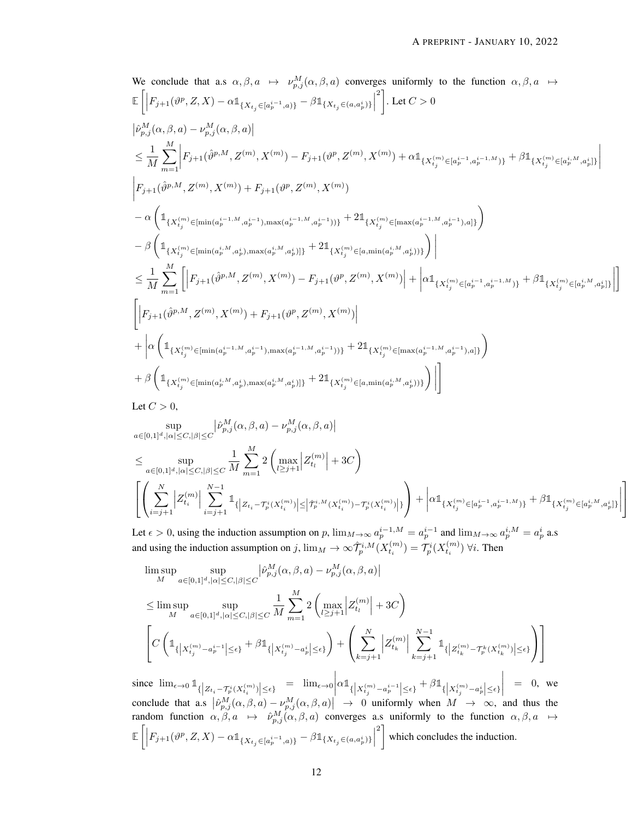$$
\begin{split} & \text{We conclude that a.s. } \alpha, \beta, a \; \mapsto \; \nu^M_{p,j}(\alpha,\beta,a) \; \text{converges uniformly to the function } \; \alpha, \beta, a \; \mapsto \\ & \mathbb{E}\left[ \left| F_{j+1}(\vartheta^p,Z,X) - \alpha \mathbb{1}_{\{X_{t_j} \in [a^{i-1}_p,a)\}} - \beta \mathbb{1}_{\{X_{t_j} \in (a,a^i_p)\}} \right|^2 \right] \text{.} \; \text{Let } C > 0 \\ & |\hat{\nu}^M_{p,j}(\alpha,\beta,a) - \nu^M_{p,j}(\alpha,\beta,a)| \\ & \leq \frac{1}{M} \sum_{m=1}^M \left| F_{j+1}(\hat{\vartheta}^{p,M},Z^{(m)},X^{(m)}) - F_{j+1}(\vartheta^p,Z^{(m)},X^{(m)}) + \alpha \mathbb{1}_{\{X^{(m)}_{t_j} \in [a^{i-1}_p,a^{i-1,M)}\}} + \beta \mathbb{1}_{\{X^{(m)}_{t_j} \in [a^{i,M}_p,a^{i}_p]\}} \right| \\ & \Big| F_{j+1}(\hat{\vartheta}^{p,M},Z^{(m)},X^{(m)}) + F_{j+1}(\vartheta^p,Z^{(m)},X^{(m)}) \\ & - \alpha \left( \mathbb{1}_{\{X^{(m)}_{t_j} \in [\min(a^{i-1,M}_p,a^i_p), \max(a^{i-1,M}_p,a^i_p)]\}} + 2 \mathbb{1}_{\{X^{(m)}_{t_j} \in [\max(a^{i-1,M}_p,a^i_p))\}} \right) \Big| \\ & - \beta \left( \mathbb{1}_{\{X^{(m)}_{t_j} \in [\min(a^{i,M}_p,a^i_p), \max(a^{i,M}_p,a^i_p)]\}} + 2 \mathbb{1}_{\{X^{(m)}_{t_j} \in [a,\min(a^{i,M}_p,a^i_p))\}} \right) \Big| \\ & \leq \frac{1}{M} \sum_{m=1}^M \left[ \left| F_{j+1}(\hat{\vartheta}^{p,M},Z^{(m)},X^{(m)}) - F_{j+1}(\vartheta^p,Z^{(m)},X^{(m)}) \right| + \left| \alpha \mathbb{1}_{\{X^{(m)}_{t_j} \in [a^{i-1},a^{i-1,M}\}} + \beta \mathbb{1}_{\{X^{(m)}_{t_j} \in [a^{
$$

Let  $C > 0$ ,

$$
\sup_{a\in[0,1]^d,|\alpha|\leq C,|\beta|\leq C}\big|\hat{\nu}_{p,j}^M(\alpha,\beta,a)-\nu_{p,j}^M(\alpha,\beta,a)\big|
$$

$$
\leq \sup_{a\in[0,1]^d,|\alpha|\leq C,|\beta|\leq C}\frac{1}{M}\sum_{m=1}^M 2\left(\max_{l\geq j+1}\Big|Z^{(m)}_{t_l}\Big|+3C\right)\\ \left[\left(\sum_{i=j+1}^N\Big|Z^{(m)}_{t_i}\Big|\sum_{i=j+1}^{N-1}\mathbb{1}_{\{\Big|Z_{t_i}-\mathcal{T}^i_p(X^{(m)}_{t_i})\Big|\leq \Big|\widehat{\mathcal{T}}^{i,M}_p(X^{(m)}_{t_i})-\mathcal{T}^i_p(X^{(m)}_{t_i})\Big|\}}\right)+\left|\alpha\mathbb{1}_{\{X^{(m)}_{t_j}\in[a^{i-1}_p,a^{i-1,M}_p)\}}+\beta\mathbb{1}_{\{X^{(m)}_{t_j}\in[a^{i,M}_p,a^{i}_p]\}}\right|\right]\\
$$

Let  $\epsilon > 0$ , using the induction assumption on p,  $\lim_{M \to \infty} a_p^{i-1,M} = a_p^{i-1}$  and  $\lim_{M \to \infty} a_p^{i,M} = a_p^i$  a.s and using the induction assumption on  $j$ ,  $\lim_M \to \infty \hat{\mathcal{T}}_p^{i,M}(X_{t_i}^{(m)}) = \mathcal{T}_p^{i}(X_{t_i}^{(m)})$   $\forall i$ . Then

$$
\limsup_{M} \sup_{a \in [0,1]^d, |\alpha| \le C, |\beta| \le C} |\hat{\nu}_{p,j}^M(\alpha, \beta, a) - \nu_{p,j}^M(\alpha, \beta, a)|
$$
\n
$$
\le \limsup_{M} \sup_{a \in [0,1]^d, |\alpha| \le C, |\beta| \le C} \frac{1}{M} \sum_{m=1}^M 2 \left( \max_{l \ge j+1} |Z_{t_l}^{(m)}| + 3C \right)
$$
\n
$$
\left[ C \left( \mathbb{1}_{\{ |X_{t_j}^{(m)} - a_p^{i-1}| \le \epsilon \}} + \beta \mathbb{1}_{\{ |X_{t_j}^{(m)} - a_p^{i}| \le \epsilon \}} \right) + \left( \sum_{k=j+1}^N |Z_{t_k}^{(m)}| \sum_{k=j+1}^{N-1} \mathbb{1}_{\{ |Z_{t_k}^{(m)} - T_p^k(X_{t_k}^{(m)})| \le \epsilon \}} \right) \right]
$$
\n
$$
= \lim_{M \to \infty} \left[ c \mathbb{1}_{\{ |Z_{t_j}^{(m)} - z_{t_j}^{j}| \le \epsilon \}} + c \mathbb{1}_{\{ |Z_{t_j}^{(m)} - z_{t_j}^{j}| \le \epsilon \}} \right] = 0 \text{ or }
$$

since  $\lim_{\epsilon \to 0} 1 \frac{1}{\{|Z_{t_i} - \mathcal{T}_p^i(X_{t_i}^{(m)})| \leq \epsilon\}} = \lim_{\epsilon \to 0}$  $\alpha \mathbb{1}_{\{\left | X^{(m)}_{t_j} - a^{i-1}_p \right | \leq \epsilon \}} + \beta \mathbb{1}_{\{\left | X^{(m)}_{t_j} - a^i_p \right | \leq \epsilon \}}$   $= 0$ , we conclude that a.s  $\left|\hat{\nu}_{p,j}^M(\alpha,\beta,a)-\nu_{p,j}^M(\alpha,\beta,a)\right| \to 0$  uniformly when  $M \to \infty$ , and thus the random function  $\alpha, \beta, a \mapsto \hat{\nu}_{p,j}^M(\alpha, \beta, a)$  converges a.s uniformly to the function  $\alpha, \beta, a \mapsto$  $\mathbb{E}\left[\left|F_{j+1}(\vartheta^p, Z, X) - \alpha \mathbb{1}_{\{X_{t_j} \in [a^{i-1}_p, a)\}} - \beta \mathbb{1}_{\{X_{t_j} \in (a, a^i_p)\}}\right|\right]$  $\left\{ \begin{array}{c} 2 \\ 2 \end{array} \right\}$  which concludes the induction.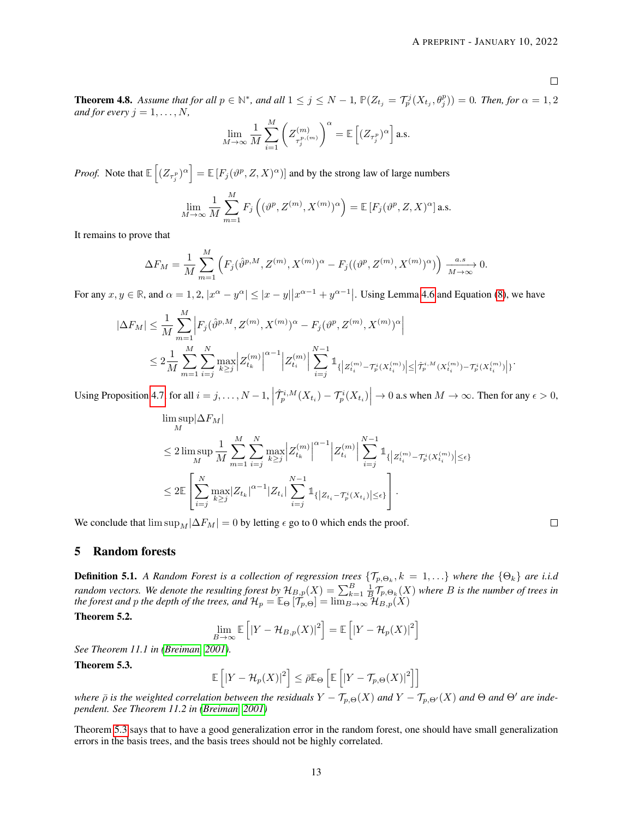$\Box$ 

**Theorem 4.8.** Assume that for all  $p \in \mathbb{N}^*$ , and all  $1 \leq j \leq N-1$ ,  $\mathbb{P}(Z_{t_j} = \mathcal{T}_p^j(X_{t_j}, \theta_j^p)) = 0$ . Then, for  $\alpha = 1, 2$ *and for every*  $j = 1, \ldots, N$ ,

$$
\lim_{M \to \infty} \frac{1}{M} \sum_{i=1}^{M} \left( Z_{\tau_j^{p,(m)}}^{(m)} \right)^{\alpha} = \mathbb{E} \left[ (Z_{\tau_j^p})^{\alpha} \right]
$$
 a.s.

*Proof.* Note that  $\mathbb{E}\left[ (Z_{\tau_j^p})^{\alpha} \right] = \mathbb{E}\left[ F_j(\vartheta^p, Z, X)^{\alpha} \right]$  and by the strong law of large numbers

$$
\lim_{M \to \infty} \frac{1}{M} \sum_{m=1}^{M} F_j \left( (\vartheta^p, Z^{(m)}, X^{(m)})^{\alpha} \right) = \mathbb{E} \left[ F_j (\vartheta^p, Z, X)^{\alpha} \right]
$$
 a.s.

It remains to prove that

$$
\Delta F_M = \frac{1}{M} \sum_{m=1}^{M} \left( F_j(\hat{\vartheta}^{p,M}, Z^{(m)}, X^{(m)})^{\alpha} - F_j((\vartheta^p, Z^{(m)}, X^{(m)})^{\alpha}) \right) \xrightarrow[M \to \infty]{a.s} 0.
$$

For any  $x, y \in \mathbb{R}$ , and  $\alpha = 1, 2, |x^{\alpha} - y^{\alpha}| \le |x - y||x^{\alpha-1} + y^{\alpha-1}|$ . Using Lemma [4.6](#page-7-2) and Equation [\(8\)](#page-3-0), we have

$$
\begin{split} |\Delta F_M| &\leq \frac{1}{M} \sum_{m=1}^M \Big| F_j(\hat{\vartheta}^{p,M}, Z^{(m)}, X^{(m)})^{\alpha} - F_j(\vartheta^p, Z^{(m)}, X^{(m)})^{\alpha} \Big| \\ &\leq 2 \frac{1}{M} \sum_{m=1}^M \sum_{i=j}^N \max_{k \geq j} \Big| Z_{t_k}^{(m)} \Big|^{\alpha-1} \Big| Z_{t_i}^{(m)} \Big| \sum_{i=j}^{N-1} \mathbb{1}_{\{ \Big| Z_{t_i}^{(m)} - \mathcal{T}_p^i(X_{t_i}^{(m)}) \Big| \leq \Big| \hat{\mathcal{T}}_p^{i,M}(X_{t_i}^{(m)}) - \mathcal{T}_p^i(X_{t_i}^{(m)}) \Big| \} . \end{split}
$$

Using Proposition [4.7,](#page-7-3) for all  $i = j, ..., N-1$ ,  $\left| \hat{\mathcal{T}}_p^{i,M}(X_{t_i}) - \mathcal{T}_p^{i}(X_{t_i}) \right| \to 0$  a.s when  $M \to \infty$ . Then for any  $\epsilon > 0$ ,

$$
\limsup_{M} |\Delta F_M| \n\leq 2 \limsup_{M} \frac{1}{M} \sum_{m=1}^{M} \sum_{i=j}^{N} \max_{k \geq j} \left| Z_{t_k}^{(m)} \right|^{\alpha-1} \left| Z_{t_i}^{(m)} \right| \sum_{i=j}^{N-1} \mathbb{1}_{\left\{ | Z_{t_i}^{(m)} - T_p^i(X_{t_i}^{(m)}) | \leq \epsilon \right\}} \n\leq 2 \mathbb{E} \left[ \sum_{i=j}^{N} \max_{k \geq j} |Z_{t_k}|^{\alpha-1} |Z_{t_i}| \sum_{i=j}^{N-1} \mathbb{1}_{\left\{ | Z_{t_i} - T_p^i(X_{t_i}) | \leq \epsilon \right\}} \right].
$$

We conclude that  $\limsup_M|\Delta F_M| = 0$  by letting  $\epsilon$  go to 0 which ends the proof.

 $\hfill\square$ 

# 5 Random forests

**Definition 5.1.** A Random Forest is a collection of regression trees  $\{\mathcal{T}_{p,\Theta_k},k=1,\ldots\}$  where the  $\{\Theta_k\}$  are i.i.d *random vectors. We denote the resulting forest by*  $\mathcal{H}_{B,p}(X) = \sum_{k=1}^B \frac{1}{B} \mathcal{T}_{p,\Theta_k}(X)$  where B is the number of trees in *the forest and p the depth of the trees, and*  $\mathcal{H}_p = \mathbb{E}_{\Theta} [\mathcal{T}_{p,\Theta}] = \lim_{B\to\infty} \mathcal{H}_{B,p}(X)$ 

Theorem 5.2.

$$
\lim_{B \to \infty} \mathbb{E}\left[ \left| Y - \mathcal{H}_{B,p}(X) \right|^2 \right] = \mathbb{E}\left[ \left| Y - \mathcal{H}_p(X) \right|^2 \right]
$$

*See Theorem 11.1 in [\(Breiman, 2001\)](#page-20-10).*

<span id="page-12-0"></span>Theorem 5.3.

$$
\mathbb{E}\left[\left|Y-\mathcal{H}_p(X)\right|^2\right] \leq \bar{\rho}\mathbb{E}_{\Theta}\left[\mathbb{E}\left[\left|Y-\mathcal{T}_{p,\Theta}(X)\right|^2\right]\right]
$$

*where*  $\bar{\rho}$  *is the weighted correlation between the residuals*  $Y - \mathcal{T}_{p,\Theta}(X)$  *and*  $Y - \mathcal{T}_{p,\Theta'}(X)$  *and*  $\Theta$  *and*  $\Theta'$  *are independent. See Theorem 11.2 in [\(Breiman, 2001\)](#page-20-10)*

Theorem [5.3](#page-12-0) says that to have a good generalization error in the random forest, one should have small generalization errors in the basis trees, and the basis trees should not be highly correlated.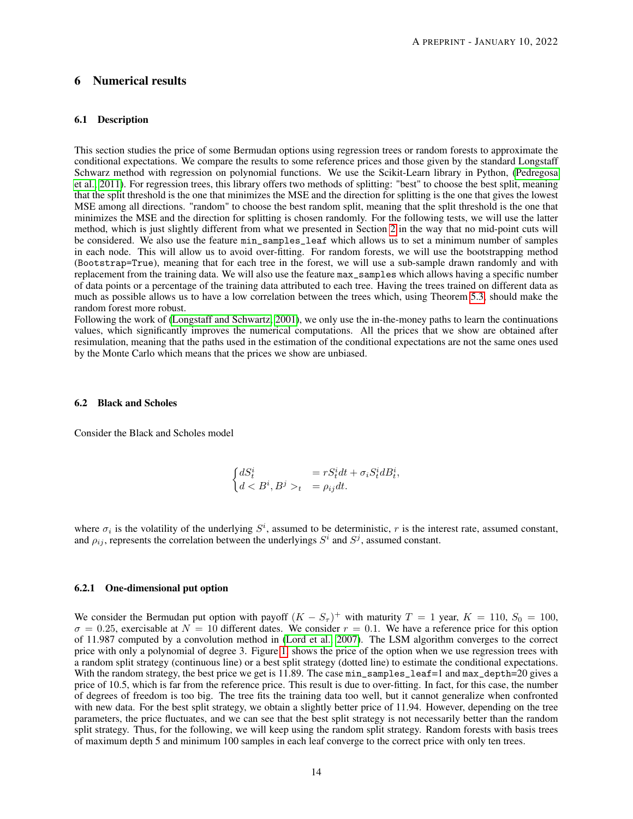# 6 Numerical results

## 6.1 Description

This section studies the price of some Bermudan options using regression trees or random forests to approximate the conditional expectations. We compare the results to some reference prices and those given by the standard Longstaff Schwarz method with regression on polynomial functions. We use the Scikit-Learn library in Python, [\(Pedregosa](#page-20-17) [et al., 2011\)](#page-20-17). For regression trees, this library offers two methods of splitting: "best" to choose the best split, meaning that the split threshold is the one that minimizes the MSE and the direction for splitting is the one that gives the lowest MSE among all directions. "random" to choose the best random split, meaning that the split threshold is the one that minimizes the MSE and the direction for splitting is chosen randomly. For the following tests, we will use the latter method, which is just slightly different from what we presented in Section [2](#page-1-1) in the way that no mid-point cuts will be considered. We also use the feature min\_samples\_leaf which allows us to set a minimum number of samples in each node. This will allow us to avoid over-fitting. For random forests, we will use the bootstrapping method (Bootstrap=True), meaning that for each tree in the forest, we will use a sub-sample drawn randomly and with replacement from the training data. We will also use the feature max\_samples which allows having a specific number of data points or a percentage of the training data attributed to each tree. Having the trees trained on different data as much as possible allows us to have a low correlation between the trees which, using Theorem [5.3,](#page-12-0) should make the random forest more robust.

Following the work of [\(Longstaff and Schwartz, 2001\)](#page-20-0), we only use the in-the-money paths to learn the continuations values, which significantly improves the numerical computations. All the prices that we show are obtained after resimulation, meaning that the paths used in the estimation of the conditional expectations are not the same ones used by the Monte Carlo which means that the prices we show are unbiased.

#### 6.2 Black and Scholes

Consider the Black and Scholes model

$$
\begin{cases} dS_t^i &= rS_t^i dt + \sigma_i S_t^i dB_t^i, \\ d < B^i, B^j >_t = \rho_{ij} dt. \end{cases}
$$

where  $\sigma_i$  is the volatility of the underlying  $S^i$ , assumed to be deterministic, r is the interest rate, assumed constant, and  $\rho_{ij}$ , represents the correlation between the underlyings  $S^i$  and  $S^j$ , assumed constant.

#### 6.2.1 One-dimensional put option

We consider the Bermudan put option with payoff  $(K - S_{\tau})^+$  with maturity  $T = 1$  year,  $K = 110$ ,  $S_0 = 100$ ,  $\sigma = 0.25$ , exercisable at  $N = 10$  different dates. We consider  $r = 0.1$ . We have a reference price for this option of 11.987 computed by a convolution method in [\(Lord et al., 2007\)](#page-20-18). The LSM algorithm converges to the correct price with only a polynomial of degree 3. Figure [1,](#page-14-0) shows the price of the option when we use regression trees with a random split strategy (continuous line) or a best split strategy (dotted line) to estimate the conditional expectations. With the random strategy, the best price we get is 11.89. The case  $\min$  samples leaf=1 and  $\max$  depth=20 gives a price of 10.5, which is far from the reference price. This result is due to over-fitting. In fact, for this case, the number of degrees of freedom is too big. The tree fits the training data too well, but it cannot generalize when confronted with new data. For the best split strategy, we obtain a slightly better price of 11.94. However, depending on the tree parameters, the price fluctuates, and we can see that the best split strategy is not necessarily better than the random split strategy. Thus, for the following, we will keep using the random split strategy. Random forests with basis trees of maximum depth 5 and minimum 100 samples in each leaf converge to the correct price with only ten trees.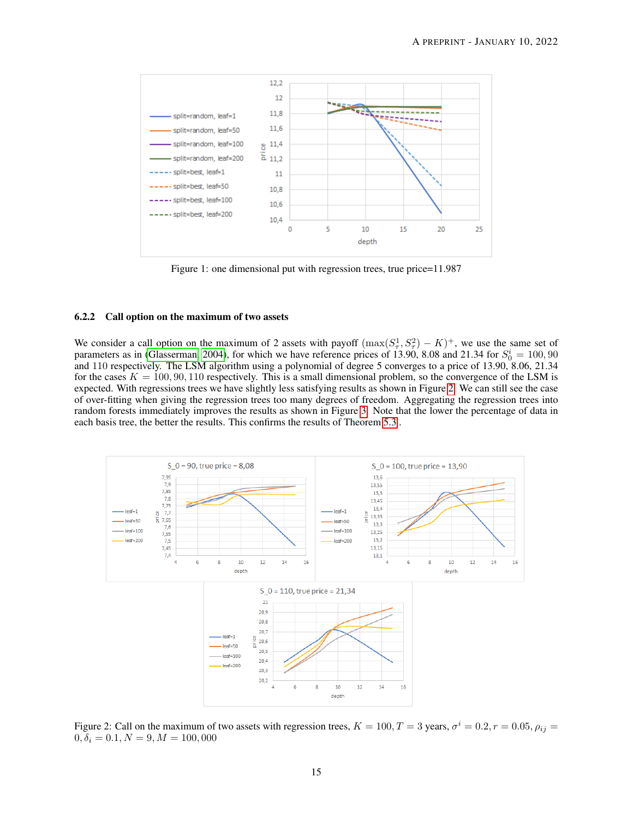<span id="page-14-0"></span>

Figure 1: one dimensional put with regression trees, true price=11.987

## 6.2.2 Call option on the maximum of two assets

We consider a call option on the maximum of 2 assets with payoff  $(\max(S_\tau^1, S_\tau^2) - K)^+$ , we use the same set of parameters as in [\(Glasserman, 2004\)](#page-20-19), for which we have reference prices of 13.90, 8.08 and 21.34 for  $S_0^i = 100, 90$ and 110 respectively. The LSM algorithm using a polynomial of degree 5 converges to a price of 13.90, 8.06, 21.34 for the cases  $K = 100, 90, 110$  respectively. This is a small dimensional problem, so the convergence of the LSM is expected. With regressions trees we have slightly less satisfying results as shown in Figure [2.](#page-14-1) We can still see the case of over-fitting when giving the regression trees too many degrees of freedom. Aggregating the regression trees into random forests immediately improves the results as shown in Figure [3.](#page-15-0) Note that the lower the percentage of data in each basis tree, the better the results. This confirms the results of Theorem [5.3](#page-12-0) .

<span id="page-14-1"></span>

Figure 2: Call on the maximum of two assets with regression trees,  $K = 100, T = 3$  years,  $\sigma^i = 0.2, r = 0.05, \rho_{ij} = 0.05$  $0, \delta_i = 0.1, N = 9, M = 100,000$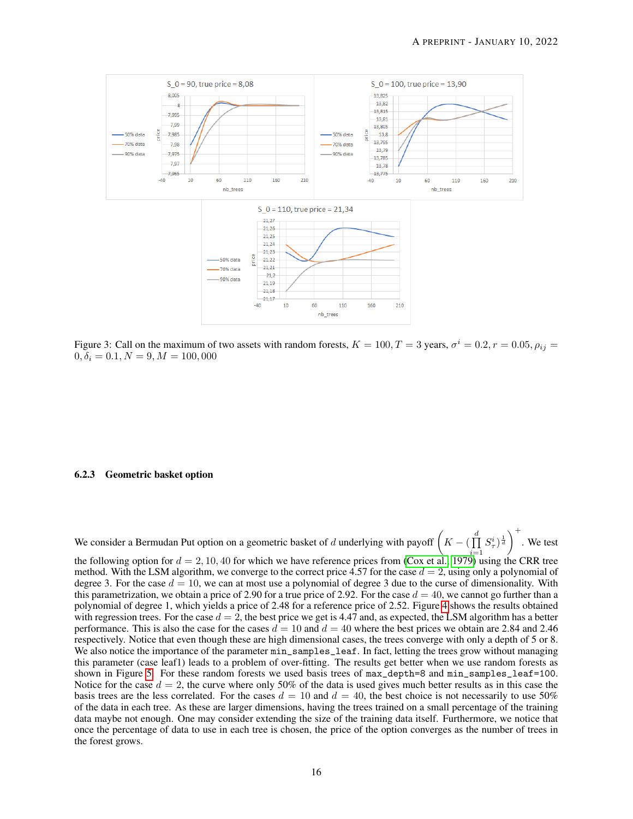<span id="page-15-0"></span>

Figure 3: Call on the maximum of two assets with random forests,  $K = 100, T = 3$  years,  $\sigma^i = 0.2, r = 0.05, \rho_{ij} = 0.05$  $0, \delta_i = 0.1, N = 9, M = 100,000$ 

## 6.2.3 Geometric basket option

We consider a Bermudan Put option on a geometric basket of d underlying with payoff  $\left(K - \left(\prod_{i=1}^{d} A_i\right)\right)$  $i=1$  $S_{\tau}^i)^{\frac{1}{d}}\Big)^+$ . We test the following option for  $d = 2, 10, 40$  for which we have reference prices from [\(Cox et al., 1979\)](#page-20-20) using the CRR tree method. With the LSM algorithm, we converge to the correct price 4.57 for the case  $d = 2$ , using only a polynomial of degree 3. For the case  $d = 10$ , we can at most use a polynomial of degree 3 due to the curse of dimensionality. With this parametrization, we obtain a price of 2.90 for a true price of 2.92. For the case  $d = 40$ , we cannot go further than a polynomial of degree 1, which yields a price of 2.48 for a reference price of 2.52. Figure [4](#page-16-0) shows the results obtained with regression trees. For the case  $d = 2$ , the best price we get is 4.47 and, as expected, the LSM algorithm has a better performance. This is also the case for the cases  $d = 10$  and  $d = 40$  where the best prices we obtain are 2.84 and 2.46 respectively. Notice that even though these are high dimensional cases, the trees converge with only a depth of 5 or 8. We also notice the importance of the parameter  $\min$ \_samples\_leaf. In fact, letting the trees grow without managing this parameter (case leaf1) leads to a problem of over-fitting. The results get better when we use random forests as shown in Figure [5.](#page-16-1) For these random forests we used basis trees of max\_depth=8 and min\_samples\_leaf=100. Notice for the case  $d = 2$ , the curve where only 50% of the data is used gives much better results as in this case the basis trees are the less correlated. For the cases  $d = 10$  and  $d = 40$ , the best choice is not necessarily to use 50% of the data in each tree. As these are larger dimensions, having the trees trained on a small percentage of the training data maybe not enough. One may consider extending the size of the training data itself. Furthermore, we notice that once the percentage of data to use in each tree is chosen, the price of the option converges as the number of trees in the forest grows.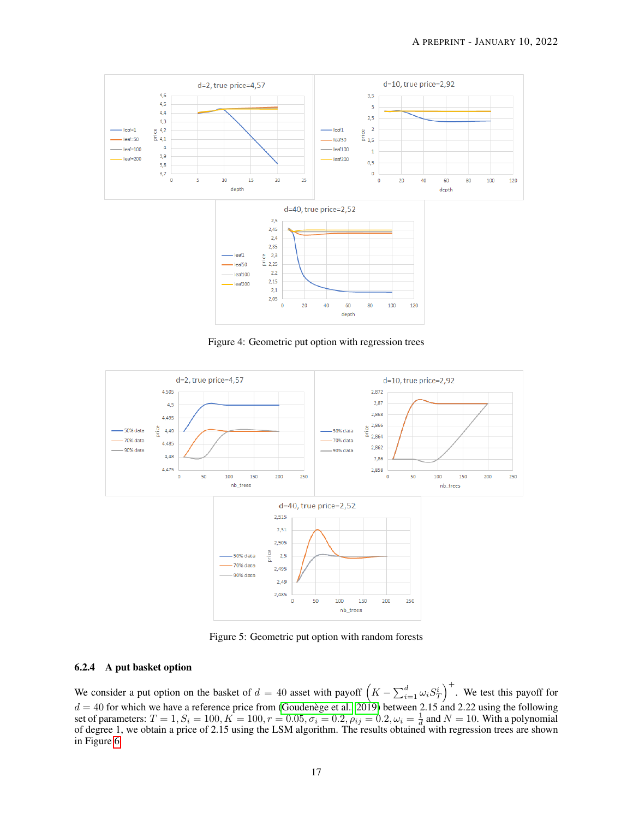<span id="page-16-0"></span>

Figure 4: Geometric put option with regression trees

<span id="page-16-1"></span>

Figure 5: Geometric put option with random forests

# 6.2.4 A put basket option

We consider a put option on the basket of  $d = 40$  asset with payoff  $(K - \sum_{i=1}^d \omega_i S_T^i)^+$ . We test this payoff for  $d = 40$  for which we have a reference price from [\(Goudenège et al., 2019\)](#page-20-21) between 2.15 and 2.22 using the following set of parameters:  $T = 1, S_i = 100, K = 100, r = 0.05, \sigma_i = 0.2, \rho_{ij} = 0.2, \omega_i = \frac{1}{d}$  and  $N = 10$ . With a polynomial of degree 1, we obtain a price of 2.15 using the LSM algorithm. The results obtained with regression trees are shown in Figure [6](#page-17-0)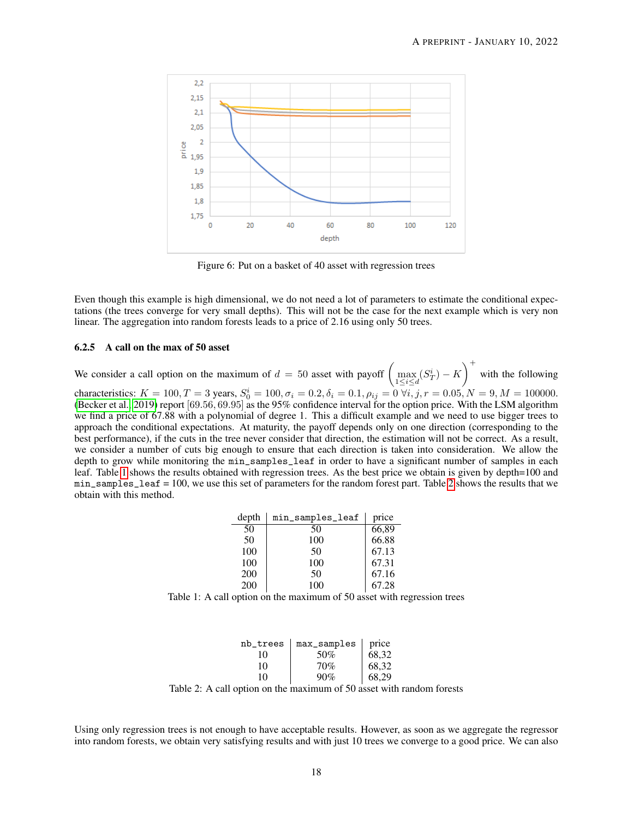<span id="page-17-0"></span>

Figure 6: Put on a basket of 40 asset with regression trees

Even though this example is high dimensional, we do not need a lot of parameters to estimate the conditional expectations (the trees converge for very small depths). This will not be the case for the next example which is very non linear. The aggregation into random forests leads to a price of 2.16 using only 50 trees.

## 6.2.5 A call on the max of 50 asset

We consider a call option on the maximum of  $d = 50$  asset with payoff  $\left(\max_{1 \le i \le d} (S_T^i) - K\right)^+$  with the following characteristics:  $K = 100, T = 3$  years,  $S_0^i = 100, \sigma_i = 0.2, \delta_i = 0.1, \rho_{ij} = 0 \ \forall i, j, r = 0.05, N = 9, M = 100000$ . [\(Becker et al., 2019\)](#page-20-22) report [69.56, 69.95] as the 95% confidence interval for the option price. With the LSM algorithm we find a price of 67.88 with a polynomial of degree 1. This a difficult example and we need to use bigger trees to approach the conditional expectations. At maturity, the payoff depends only on one direction (corresponding to the best performance), if the cuts in the tree never consider that direction, the estimation will not be correct. As a result, we consider a number of cuts big enough to ensure that each direction is taken into consideration. We allow the depth to grow while monitoring the min\_samples\_leaf in order to have a significant number of samples in each leaf. Table [1](#page-17-1) shows the results obtained with regression trees. As the best price we obtain is given by depth=100 and min\_samples\_leaf = 100, we use this set of parameters for the random forest part. Table [2](#page-17-2) shows the results that we obtain with this method.

| depth | min_samples_leaf | price |
|-------|------------------|-------|
| 50    | 50               | 66,89 |
| 50    | 100              | 66.88 |
| 100   | 50               | 67.13 |
| 100   | 100              | 67.31 |
| 200   | 50               | 67.16 |
| 200   | 100              | 67.28 |

<span id="page-17-1"></span>Table 1: A call option on the maximum of 50 asset with regression trees

| nb_trees | max_samples | price |
|----------|-------------|-------|
| 10       | 50%         | 68,32 |
| 10       | 70%         | 68,32 |
| 10       | 90%         | 68.29 |

Table 2: A call option on the maximum of 50 asset with random forests

<span id="page-17-2"></span>Using only regression trees is not enough to have acceptable results. However, as soon as we aggregate the regressor into random forests, we obtain very satisfying results and with just 10 trees we converge to a good price. We can also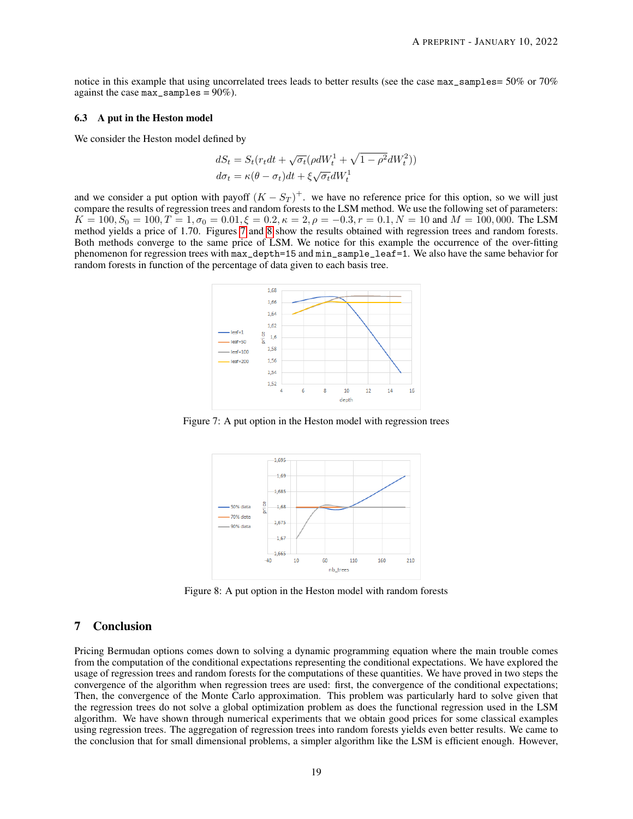notice in this example that using uncorrelated trees leads to better results (see the case max\_samples= 50% or 70% against the case  $max$ \_samples =  $90\%$ ).

#### 6.3 A put in the Heston model

We consider the Heston model defined by

$$
dS_t = S_t(r_t dt + \sqrt{\sigma_t} (\rho dW_t^1 + \sqrt{1 - \rho^2} dW_t^2))
$$
  

$$
d\sigma_t = \kappa(\theta - \sigma_t) dt + \xi \sqrt{\sigma_t} dW_t^1
$$

<span id="page-18-0"></span>and we consider a put option with payoff  $(K - S_T)^+$ . we have no reference price for this option, so we will just compare the results of regression trees and random forests to the LSM method. We use the following set of parameters:  $K = 100, S_0 = 100, T = 1, \sigma_0 = 0.01, \xi = 0.2, \kappa = 2, \rho = -0.3, r = 0.1, N = 10$  and  $M = 100, 000$ . The LSM method yields a price of 1.70. Figures [7](#page-18-0) and [8](#page-18-1) show the results obtained with regression trees and random forests. Both methods converge to the same price of LSM. We notice for this example the occurrence of the over-fitting phenomenon for regression trees with max\_depth=15 and min\_sample\_leaf=1. We also have the same behavior for random forests in function of the percentage of data given to each basis tree.



<span id="page-18-1"></span>Figure 7: A put option in the Heston model with regression trees



Figure 8: A put option in the Heston model with random forests

# 7 Conclusion

Pricing Bermudan options comes down to solving a dynamic programming equation where the main trouble comes from the computation of the conditional expectations representing the conditional expectations. We have explored the usage of regression trees and random forests for the computations of these quantities. We have proved in two steps the convergence of the algorithm when regression trees are used: first, the convergence of the conditional expectations; Then, the convergence of the Monte Carlo approximation. This problem was particularly hard to solve given that the regression trees do not solve a global optimization problem as does the functional regression used in the LSM algorithm. We have shown through numerical experiments that we obtain good prices for some classical examples using regression trees. The aggregation of regression trees into random forests yields even better results. We came to the conclusion that for small dimensional problems, a simpler algorithm like the LSM is efficient enough. However,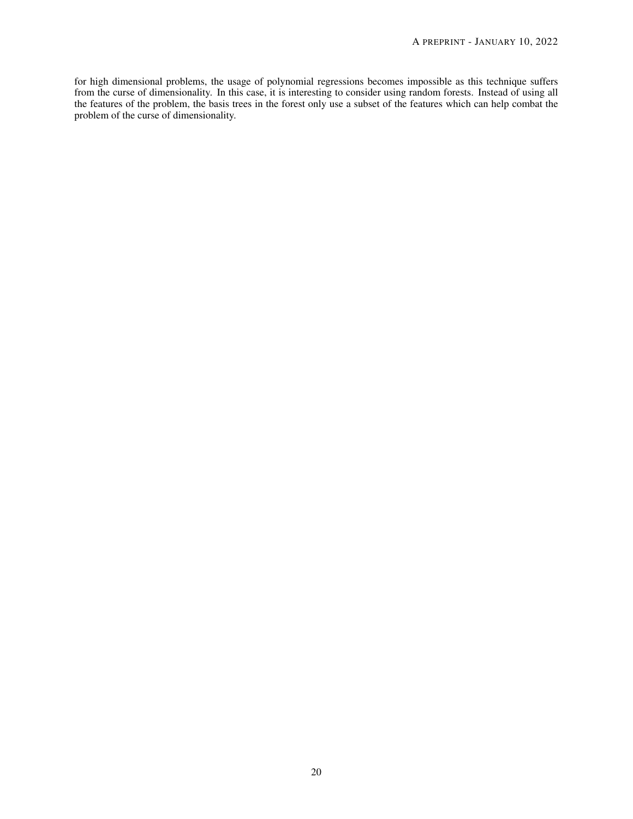for high dimensional problems, the usage of polynomial regressions becomes impossible as this technique suffers from the curse of dimensionality. In this case, it is interesting to consider using random forests. Instead of using all the features of the problem, the basis trees in the forest only use a subset of the features which can help combat the problem of the curse of dimensionality.